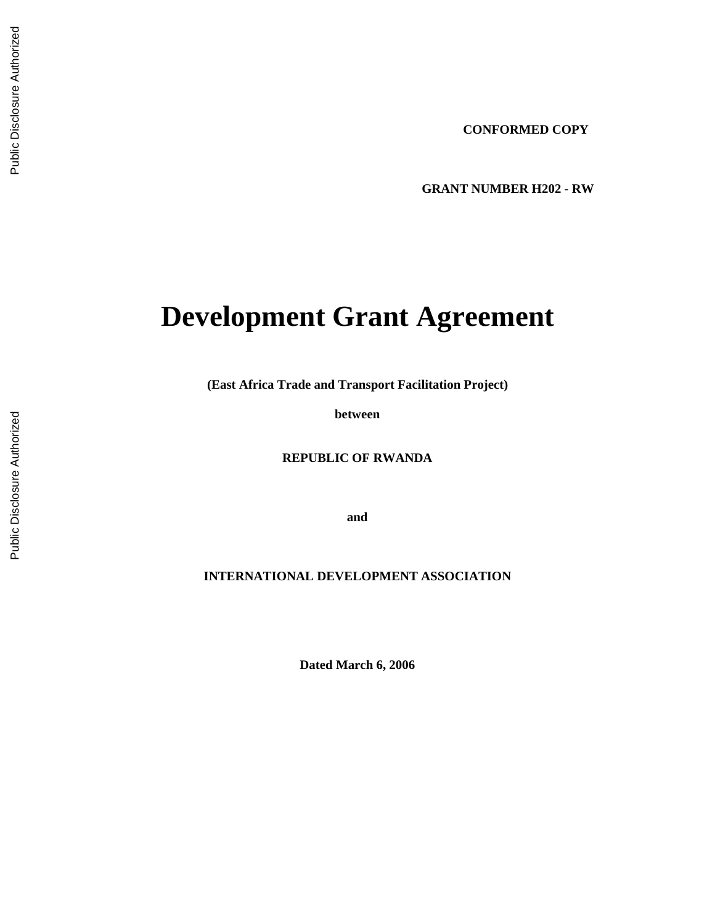**GRANT NUMBER H202 - RW** 

# **Development Grant Agreement**

**(East Africa Trade and Transport Facilitation Project)** 

**between** 

**REPUBLIC OF RWANDA** 

**and** 

**INTERNATIONAL DEVELOPMENT ASSOCIATION** 

**Dated March 6, 2006**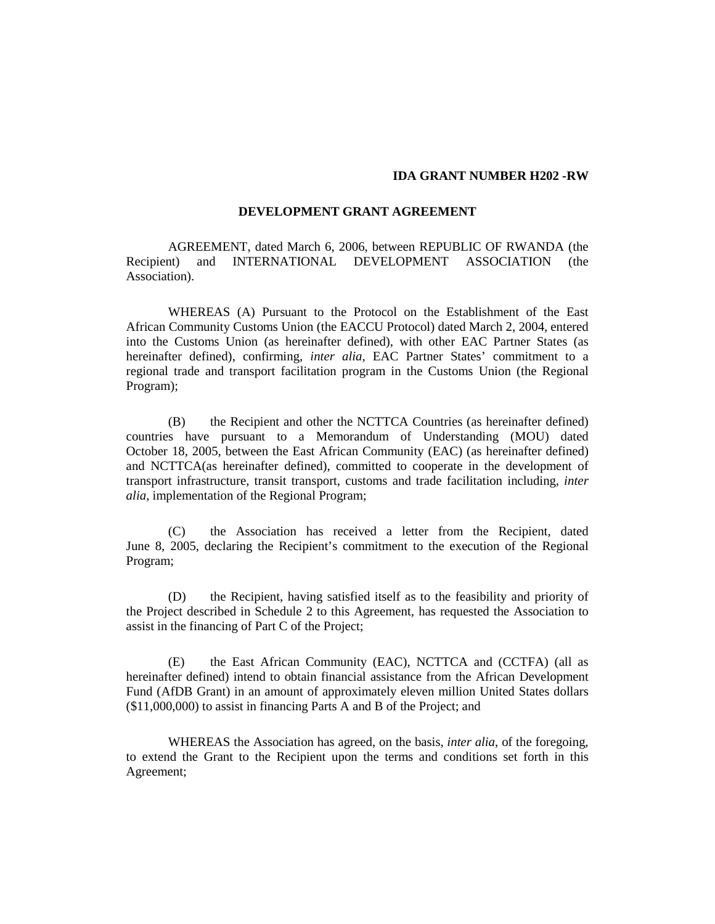#### **IDA GRANT NUMBER H202 -RW**

#### **DEVELOPMENT GRANT AGREEMENT**

AGREEMENT, dated March 6, 2006, between REPUBLIC OF RWANDA (the Recipient) and INTERNATIONAL DEVELOPMENT ASSOCIATION (the Association).

WHEREAS (A) Pursuant to the Protocol on the Establishment of the East African Community Customs Union (the EACCU Protocol) dated March 2, 2004, entered into the Customs Union (as hereinafter defined), with other EAC Partner States (as hereinafter defined), confirming, *inter alia*, EAC Partner States' commitment to a regional trade and transport facilitation program in the Customs Union (the Regional Program);

(B) the Recipient and other the NCTTCA Countries (as hereinafter defined) countries have pursuant to a Memorandum of Understanding (MOU) dated October 18, 2005, between the East African Community (EAC) (as hereinafter defined) and NCTTCA(as hereinafter defined), committed to cooperate in the development of transport infrastructure, transit transport, customs and trade facilitation including, *inter alia*, implementation of the Regional Program;

(C) the Association has received a letter from the Recipient, dated June 8, 2005, declaring the Recipient's commitment to the execution of the Regional Program;

(D) the Recipient, having satisfied itself as to the feasibility and priority of the Project described in Schedule 2 to this Agreement, has requested the Association to assist in the financing of Part C of the Project;

(E) the East African Community (EAC), NCTTCA and (CCTFA) (all as hereinafter defined) intend to obtain financial assistance from the African Development Fund (AfDB Grant) in an amount of approximately eleven million United States dollars (\$11,000,000) to assist in financing Parts A and B of the Project; and

WHEREAS the Association has agreed, on the basis, *inter alia*, of the foregoing, to extend the Grant to the Recipient upon the terms and conditions set forth in this Agreement;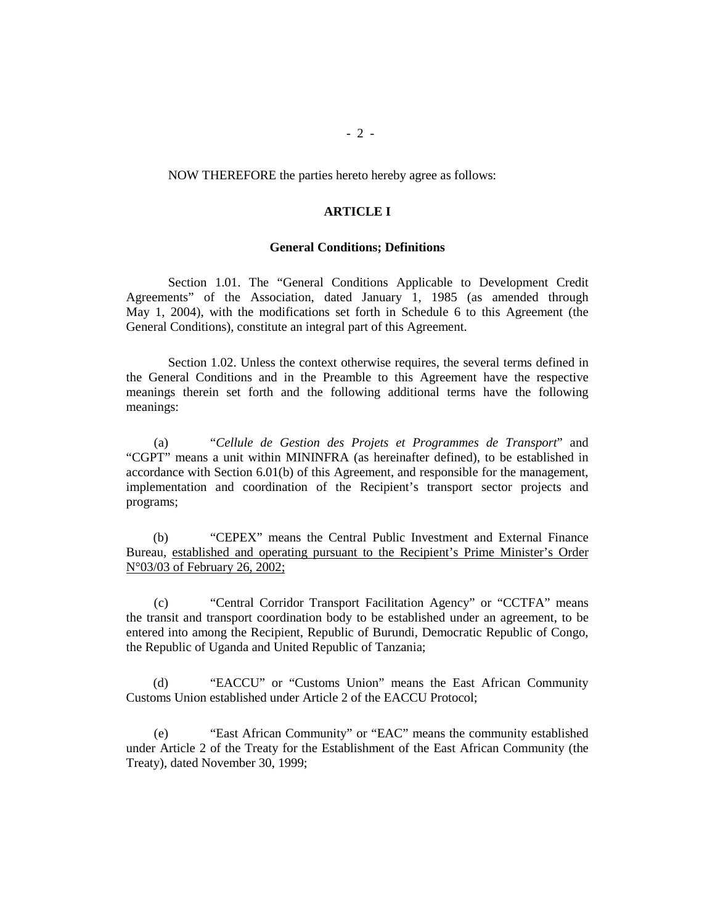NOW THEREFORE the parties hereto hereby agree as follows:

#### **ARTICLE I**

#### **General Conditions; Definitions**

Section 1.01. The "General Conditions Applicable to Development Credit Agreements" of the Association, dated January 1, 1985 (as amended through May 1, 2004), with the modifications set forth in Schedule 6 to this Agreement (the General Conditions), constitute an integral part of this Agreement.

Section 1.02. Unless the context otherwise requires, the several terms defined in the General Conditions and in the Preamble to this Agreement have the respective meanings therein set forth and the following additional terms have the following meanings:

(a) "*Cellule de Gestion des Projets et Programmes de Transport*" and "CGPT" means a unit within MININFRA (as hereinafter defined), to be established in accordance with Section 6.01(b) of this Agreement, and responsible for the management, implementation and coordination of the Recipient's transport sector projects and programs;

(b) "CEPEX" means the Central Public Investment and External Finance Bureau, established and operating pursuant to the Recipient's Prime Minister's Order N°03/03 of February 26, 2002;

(c) "Central Corridor Transport Facilitation Agency" or "CCTFA" means the transit and transport coordination body to be established under an agreement, to be entered into among the Recipient, Republic of Burundi, Democratic Republic of Congo, the Republic of Uganda and United Republic of Tanzania;

(d) "EACCU" or "Customs Union" means the East African Community Customs Union established under Article 2 of the EACCU Protocol;

(e) "East African Community" or "EAC" means the community established under Article 2 of the Treaty for the Establishment of the East African Community (the Treaty), dated November 30, 1999;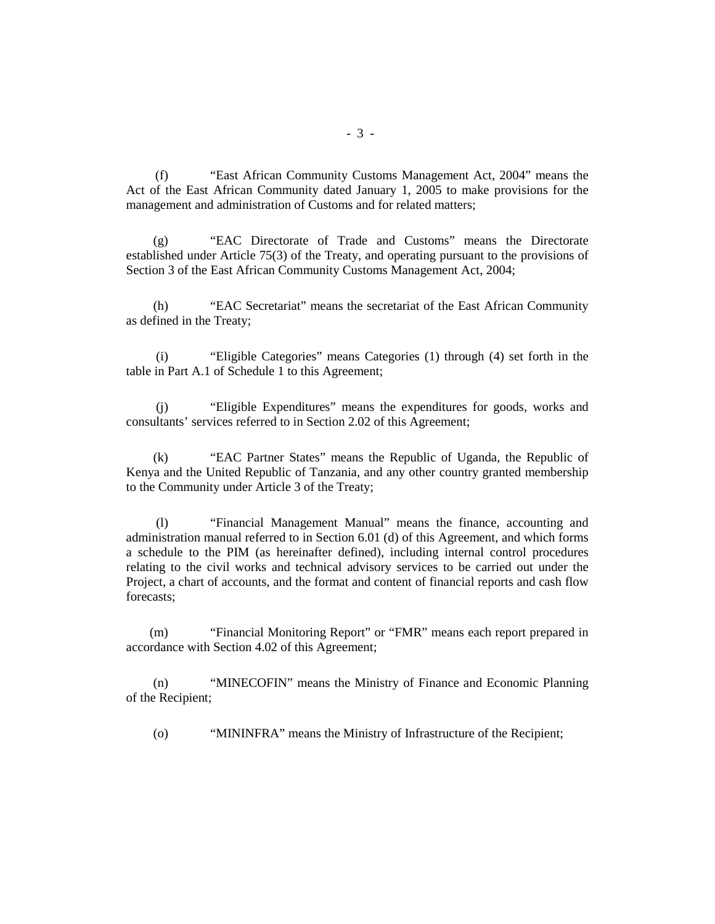(f) "East African Community Customs Management Act, 2004" means the Act of the East African Community dated January 1, 2005 to make provisions for the management and administration of Customs and for related matters;

(g) "EAC Directorate of Trade and Customs" means the Directorate established under Article 75(3) of the Treaty, and operating pursuant to the provisions of Section 3 of the East African Community Customs Management Act, 2004;

(h) "EAC Secretariat" means the secretariat of the East African Community as defined in the Treaty;

(i) "Eligible Categories" means Categories (1) through (4) set forth in the table in Part A.1 of Schedule 1 to this Agreement;

(j) "Eligible Expenditures" means the expenditures for goods, works and consultants' services referred to in Section 2.02 of this Agreement;

(k) "EAC Partner States" means the Republic of Uganda, the Republic of Kenya and the United Republic of Tanzania, and any other country granted membership to the Community under Article 3 of the Treaty;

(l) "Financial Management Manual" means the finance, accounting and administration manual referred to in Section 6.01 (d) of this Agreement, and which forms a schedule to the PIM (as hereinafter defined), including internal control procedures relating to the civil works and technical advisory services to be carried out under the Project, a chart of accounts, and the format and content of financial reports and cash flow forecasts;

(m) "Financial Monitoring Report" or "FMR" means each report prepared in accordance with Section 4.02 of this Agreement;

(n) "MINECOFIN" means the Ministry of Finance and Economic Planning of the Recipient;

(o) "MININFRA" means the Ministry of Infrastructure of the Recipient;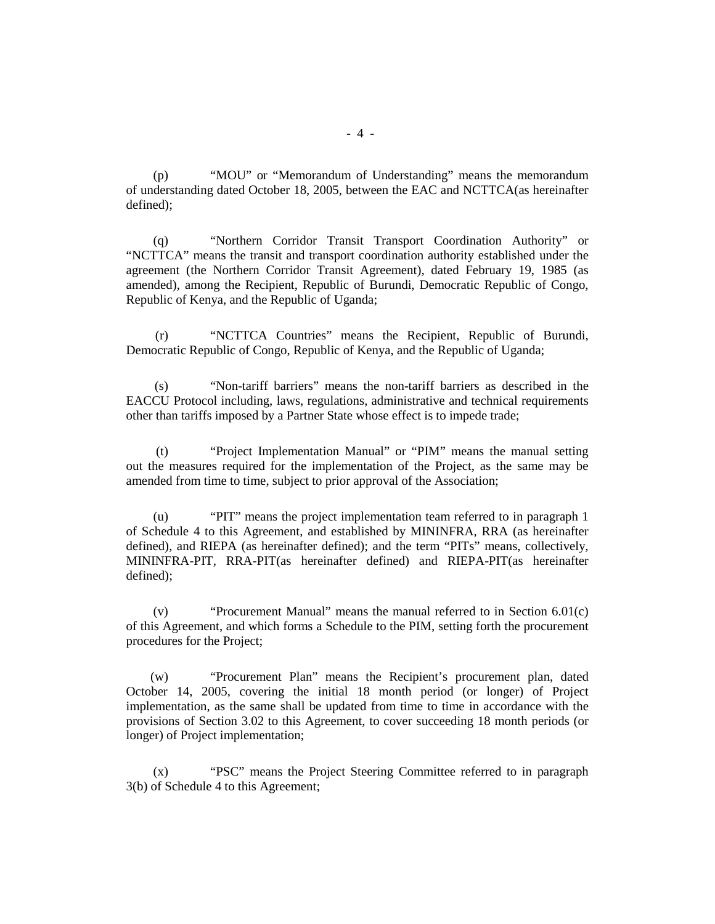(p) "MOU" or "Memorandum of Understanding" means the memorandum of understanding dated October 18, 2005, between the EAC and NCTTCA(as hereinafter defined);

(q) "Northern Corridor Transit Transport Coordination Authority" or "NCTTCA" means the transit and transport coordination authority established under the agreement (the Northern Corridor Transit Agreement), dated February 19, 1985 (as amended), among the Recipient, Republic of Burundi, Democratic Republic of Congo, Republic of Kenya, and the Republic of Uganda;

(r) "NCTTCA Countries" means the Recipient, Republic of Burundi, Democratic Republic of Congo, Republic of Kenya, and the Republic of Uganda;

(s) "Non-tariff barriers" means the non-tariff barriers as described in the EACCU Protocol including, laws, regulations, administrative and technical requirements other than tariffs imposed by a Partner State whose effect is to impede trade;

(t) "Project Implementation Manual" or "PIM" means the manual setting out the measures required for the implementation of the Project, as the same may be amended from time to time, subject to prior approval of the Association;

(u) "PIT" means the project implementation team referred to in paragraph 1 of Schedule 4 to this Agreement, and established by MININFRA, RRA (as hereinafter defined), and RIEPA (as hereinafter defined); and the term "PITs" means, collectively, MININFRA-PIT, RRA-PIT(as hereinafter defined) and RIEPA-PIT(as hereinafter defined);

(v) "Procurement Manual" means the manual referred to in Section 6.01(c) of this Agreement, and which forms a Schedule to the PIM, setting forth the procurement procedures for the Project;

(w) "Procurement Plan" means the Recipient's procurement plan, dated October 14, 2005, covering the initial 18 month period (or longer) of Project implementation, as the same shall be updated from time to time in accordance with the provisions of Section 3.02 to this Agreement, to cover succeeding 18 month periods (or longer) of Project implementation;

(x) "PSC" means the Project Steering Committee referred to in paragraph 3(b) of Schedule 4 to this Agreement;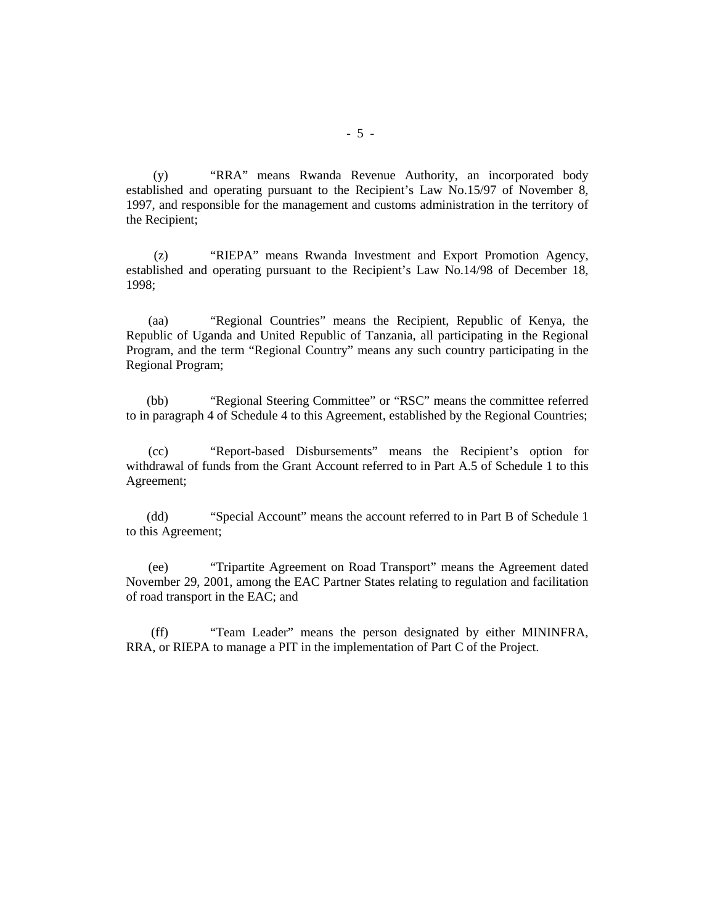(y) "RRA" means Rwanda Revenue Authority, an incorporated body established and operating pursuant to the Recipient's Law No.15/97 of November 8, 1997, and responsible for the management and customs administration in the territory of the Recipient;

(z) "RIEPA" means Rwanda Investment and Export Promotion Agency, established and operating pursuant to the Recipient's Law No.14/98 of December 18, 1998;

(aa) "Regional Countries" means the Recipient, Republic of Kenya, the Republic of Uganda and United Republic of Tanzania, all participating in the Regional Program, and the term "Regional Country" means any such country participating in the Regional Program;

(bb) "Regional Steering Committee" or "RSC" means the committee referred to in paragraph 4 of Schedule 4 to this Agreement, established by the Regional Countries;

(cc) "Report-based Disbursements" means the Recipient's option for withdrawal of funds from the Grant Account referred to in Part A.5 of Schedule 1 to this Agreement;

(dd) "Special Account" means the account referred to in Part B of Schedule 1 to this Agreement;

(ee) "Tripartite Agreement on Road Transport" means the Agreement dated November 29, 2001, among the EAC Partner States relating to regulation and facilitation of road transport in the EAC; and

(ff) "Team Leader" means the person designated by either MININFRA, RRA, or RIEPA to manage a PIT in the implementation of Part C of the Project.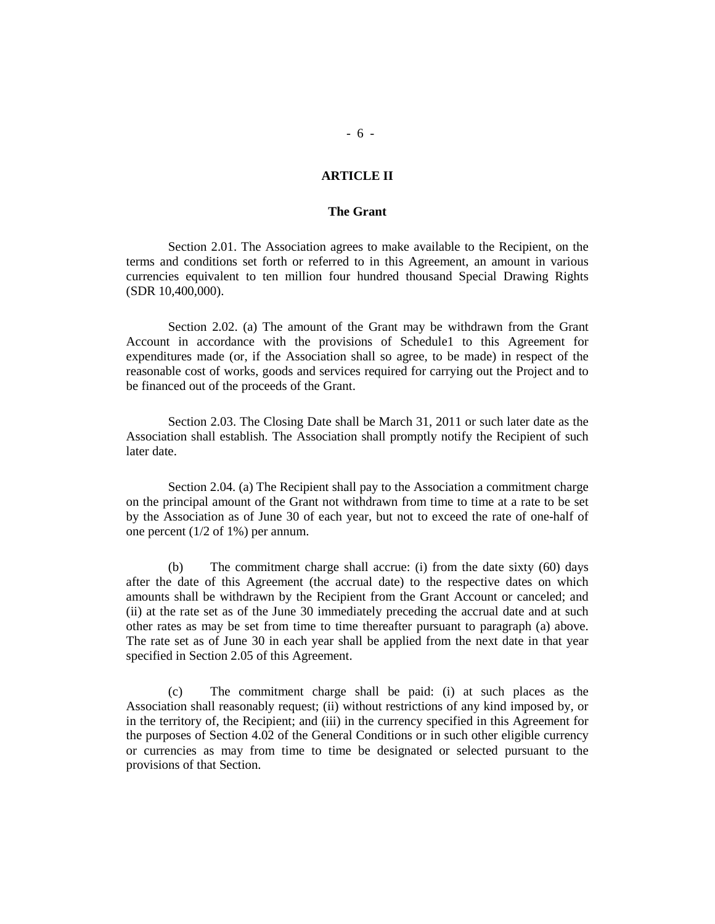#### **ARTICLE II**

#### **The Grant**

Section 2.01. The Association agrees to make available to the Recipient, on the terms and conditions set forth or referred to in this Agreement, an amount in various currencies equivalent to ten million four hundred thousand Special Drawing Rights (SDR 10,400,000).

Section 2.02. (a) The amount of the Grant may be withdrawn from the Grant Account in accordance with the provisions of Schedule1 to this Agreement for expenditures made (or, if the Association shall so agree, to be made) in respect of the reasonable cost of works, goods and services required for carrying out the Project and to be financed out of the proceeds of the Grant.

Section 2.03. The Closing Date shall be March 31, 2011 or such later date as the Association shall establish. The Association shall promptly notify the Recipient of such later date.

Section 2.04. (a) The Recipient shall pay to the Association a commitment charge on the principal amount of the Grant not withdrawn from time to time at a rate to be set by the Association as of June 30 of each year, but not to exceed the rate of one-half of one percent (1/2 of 1%) per annum.

(b) The commitment charge shall accrue: (i) from the date sixty (60) days after the date of this Agreement (the accrual date) to the respective dates on which amounts shall be withdrawn by the Recipient from the Grant Account or canceled; and (ii) at the rate set as of the June 30 immediately preceding the accrual date and at such other rates as may be set from time to time thereafter pursuant to paragraph (a) above. The rate set as of June 30 in each year shall be applied from the next date in that year specified in Section 2.05 of this Agreement.

(c) The commitment charge shall be paid: (i) at such places as the Association shall reasonably request; (ii) without restrictions of any kind imposed by, or in the territory of, the Recipient; and (iii) in the currency specified in this Agreement for the purposes of Section 4.02 of the General Conditions or in such other eligible currency or currencies as may from time to time be designated or selected pursuant to the provisions of that Section.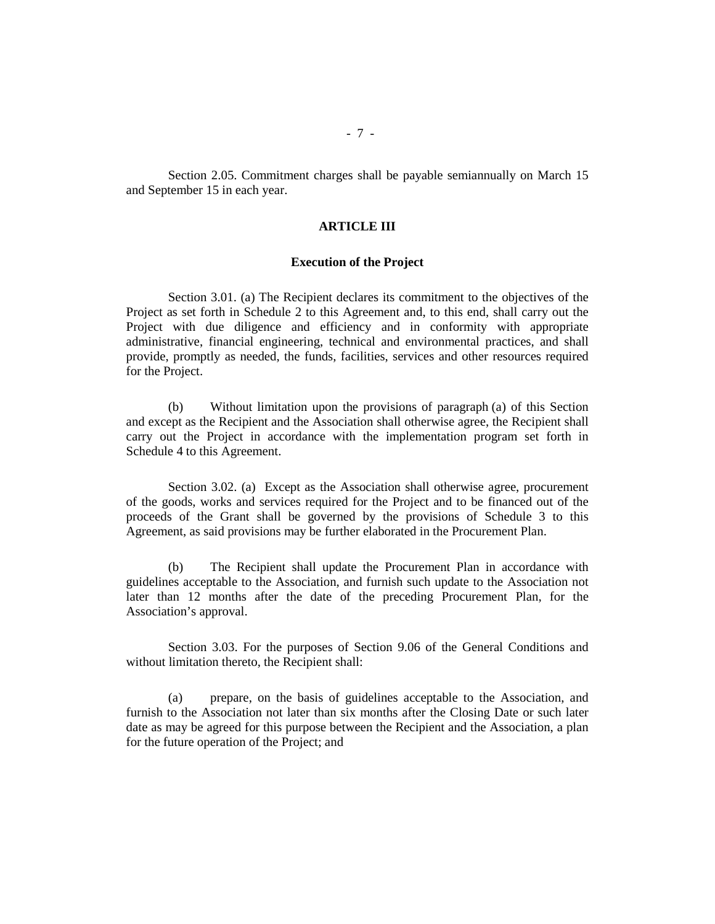Section 2.05. Commitment charges shall be payable semiannually on March 15 and September 15 in each year.

# **ARTICLE III**

#### **Execution of the Project**

Section 3.01. (a) The Recipient declares its commitment to the objectives of the Project as set forth in Schedule 2 to this Agreement and, to this end, shall carry out the Project with due diligence and efficiency and in conformity with appropriate administrative, financial engineering, technical and environmental practices, and shall provide, promptly as needed, the funds, facilities, services and other resources required for the Project.

(b) Without limitation upon the provisions of paragraph (a) of this Section and except as the Recipient and the Association shall otherwise agree, the Recipient shall carry out the Project in accordance with the implementation program set forth in Schedule 4 to this Agreement.

Section 3.02. (a) Except as the Association shall otherwise agree, procurement of the goods, works and services required for the Project and to be financed out of the proceeds of the Grant shall be governed by the provisions of Schedule 3 to this Agreement, as said provisions may be further elaborated in the Procurement Plan.

(b) The Recipient shall update the Procurement Plan in accordance with guidelines acceptable to the Association, and furnish such update to the Association not later than 12 months after the date of the preceding Procurement Plan, for the Association's approval.

Section 3.03. For the purposes of Section 9.06 of the General Conditions and without limitation thereto, the Recipient shall:

(a) prepare, on the basis of guidelines acceptable to the Association, and furnish to the Association not later than six months after the Closing Date or such later date as may be agreed for this purpose between the Recipient and the Association, a plan for the future operation of the Project; and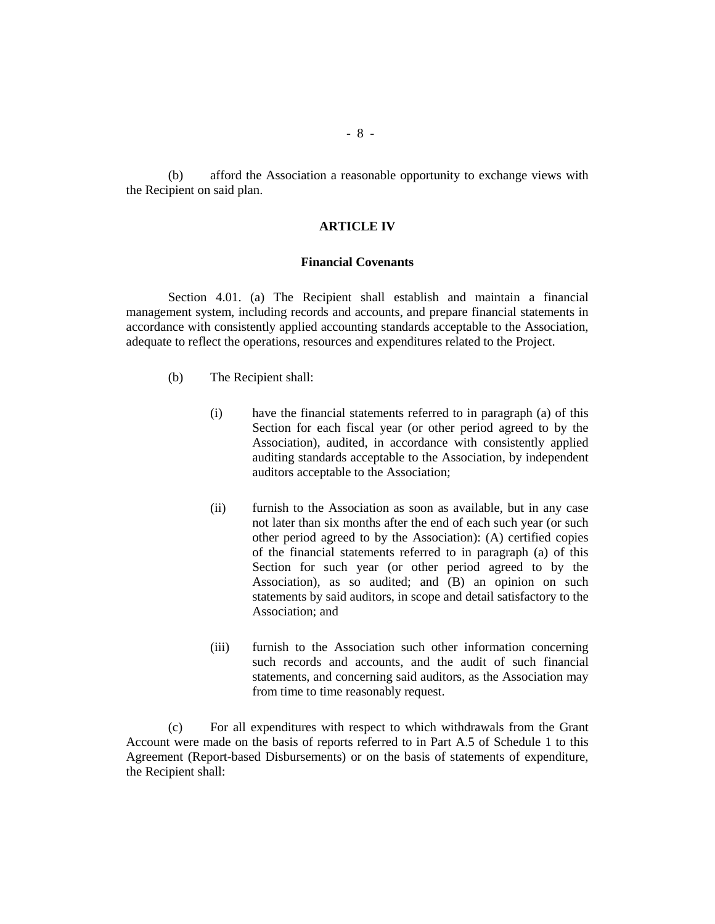(b) afford the Association a reasonable opportunity to exchange views with the Recipient on said plan.

# **ARTICLE IV**

#### **Financial Covenants**

Section 4.01. (a) The Recipient shall establish and maintain a financial management system, including records and accounts, and prepare financial statements in accordance with consistently applied accounting standards acceptable to the Association, adequate to reflect the operations, resources and expenditures related to the Project.

- (b) The Recipient shall:
	- (i) have the financial statements referred to in paragraph (a) of this Section for each fiscal year (or other period agreed to by the Association), audited, in accordance with consistently applied auditing standards acceptable to the Association, by independent auditors acceptable to the Association;
	- (ii) furnish to the Association as soon as available, but in any case not later than six months after the end of each such year (or such other period agreed to by the Association): (A) certified copies of the financial statements referred to in paragraph (a) of this Section for such year (or other period agreed to by the Association), as so audited; and (B) an opinion on such statements by said auditors, in scope and detail satisfactory to the Association; and
	- (iii) furnish to the Association such other information concerning such records and accounts, and the audit of such financial statements, and concerning said auditors, as the Association may from time to time reasonably request.

(c) For all expenditures with respect to which withdrawals from the Grant Account were made on the basis of reports referred to in Part A.5 of Schedule 1 to this Agreement (Report-based Disbursements) or on the basis of statements of expenditure, the Recipient shall: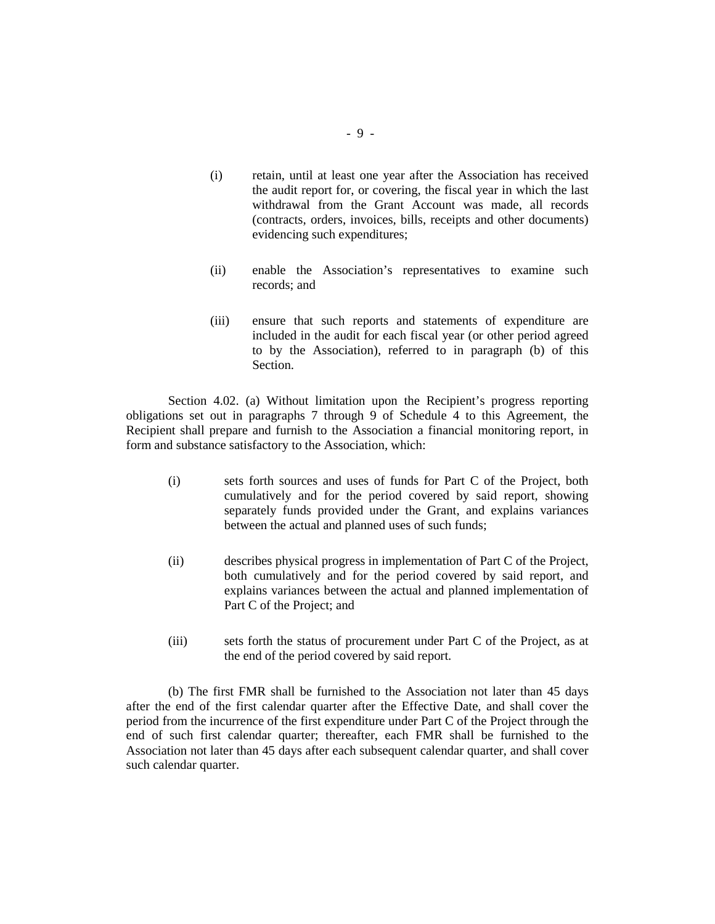- (i) retain, until at least one year after the Association has received the audit report for, or covering, the fiscal year in which the last withdrawal from the Grant Account was made, all records (contracts, orders, invoices, bills, receipts and other documents) evidencing such expenditures;
- (ii) enable the Association's representatives to examine such records; and
- (iii) ensure that such reports and statements of expenditure are included in the audit for each fiscal year (or other period agreed to by the Association), referred to in paragraph (b) of this Section.

Section 4.02. (a) Without limitation upon the Recipient's progress reporting obligations set out in paragraphs 7 through 9 of Schedule 4 to this Agreement, the Recipient shall prepare and furnish to the Association a financial monitoring report, in form and substance satisfactory to the Association, which:

- (i) sets forth sources and uses of funds for Part C of the Project, both cumulatively and for the period covered by said report, showing separately funds provided under the Grant, and explains variances between the actual and planned uses of such funds;
- (ii) describes physical progress in implementation of Part C of the Project, both cumulatively and for the period covered by said report, and explains variances between the actual and planned implementation of Part C of the Project; and
- (iii) sets forth the status of procurement under Part C of the Project, as at the end of the period covered by said report.

(b) The first FMR shall be furnished to the Association not later than 45 days after the end of the first calendar quarter after the Effective Date, and shall cover the period from the incurrence of the first expenditure under Part C of the Project through the end of such first calendar quarter; thereafter, each FMR shall be furnished to the Association not later than 45 days after each subsequent calendar quarter, and shall cover such calendar quarter.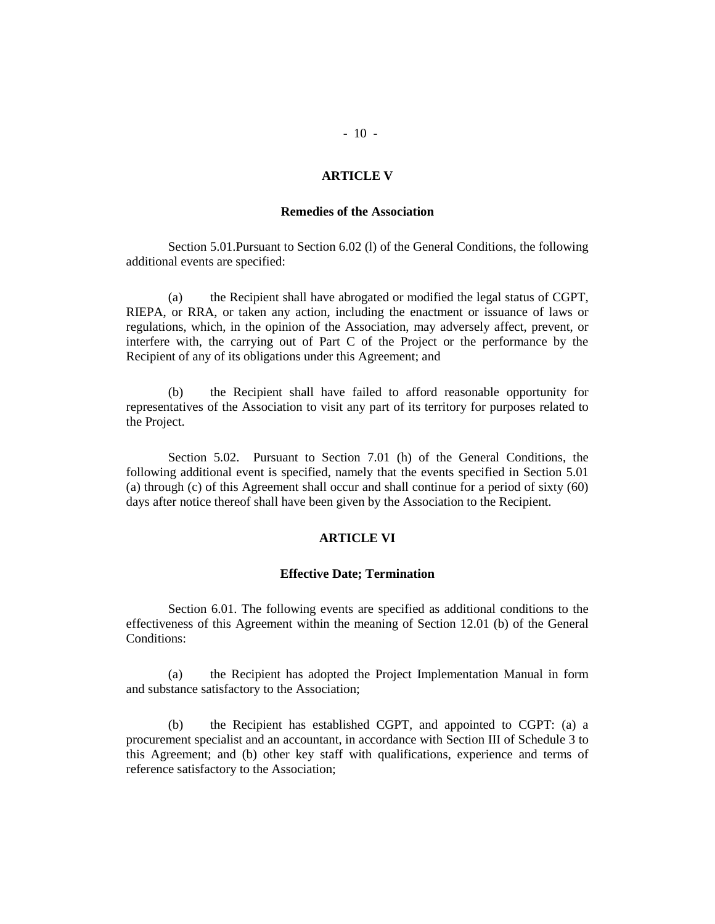#### **ARTICLE V**

#### **Remedies of the Association**

Section 5.01.Pursuant to Section 6.02 (l) of the General Conditions, the following additional events are specified:

(a) the Recipient shall have abrogated or modified the legal status of CGPT, RIEPA, or RRA, or taken any action, including the enactment or issuance of laws or regulations, which, in the opinion of the Association, may adversely affect, prevent, or interfere with, the carrying out of Part C of the Project or the performance by the Recipient of any of its obligations under this Agreement; and

(b) the Recipient shall have failed to afford reasonable opportunity for representatives of the Association to visit any part of its territory for purposes related to the Project.

Section 5.02. Pursuant to Section 7.01 (h) of the General Conditions, the following additional event is specified, namely that the events specified in Section 5.01 (a) through (c) of this Agreement shall occur and shall continue for a period of sixty (60) days after notice thereof shall have been given by the Association to the Recipient.

### **ARTICLE VI**

#### **Effective Date; Termination**

Section 6.01. The following events are specified as additional conditions to the effectiveness of this Agreement within the meaning of Section 12.01 (b) of the General Conditions:

(a) the Recipient has adopted the Project Implementation Manual in form and substance satisfactory to the Association;

(b) the Recipient has established CGPT, and appointed to CGPT: (a) a procurement specialist and an accountant, in accordance with Section III of Schedule 3 to this Agreement; and (b) other key staff with qualifications, experience and terms of reference satisfactory to the Association;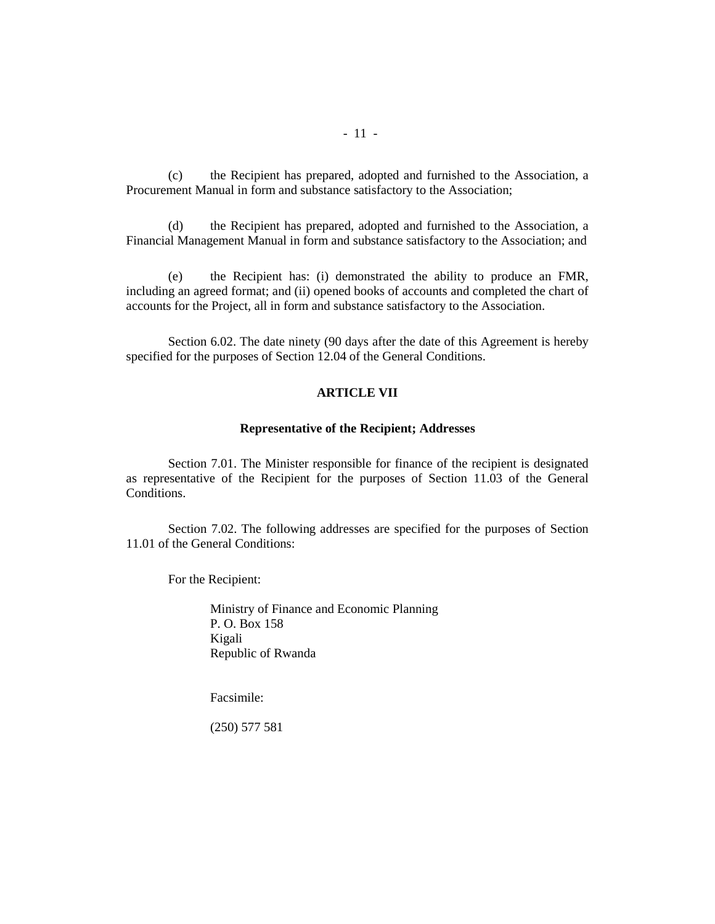(c) the Recipient has prepared, adopted and furnished to the Association, a Procurement Manual in form and substance satisfactory to the Association;

(d) the Recipient has prepared, adopted and furnished to the Association, a Financial Management Manual in form and substance satisfactory to the Association; and

(e) the Recipient has: (i) demonstrated the ability to produce an FMR, including an agreed format; and (ii) opened books of accounts and completed the chart of accounts for the Project, all in form and substance satisfactory to the Association.

Section 6.02. The date ninety (90 days after the date of this Agreement is hereby specified for the purposes of Section 12.04 of the General Conditions.

# **ARTICLE VII**

#### **Representative of the Recipient; Addresses**

Section 7.01. The Minister responsible for finance of the recipient is designated as representative of the Recipient for the purposes of Section 11.03 of the General Conditions.

Section 7.02. The following addresses are specified for the purposes of Section 11.01 of the General Conditions:

For the Recipient:

Ministry of Finance and Economic Planning P. O. Box 158 Kigali Republic of Rwanda

Facsimile:

(250) 577 581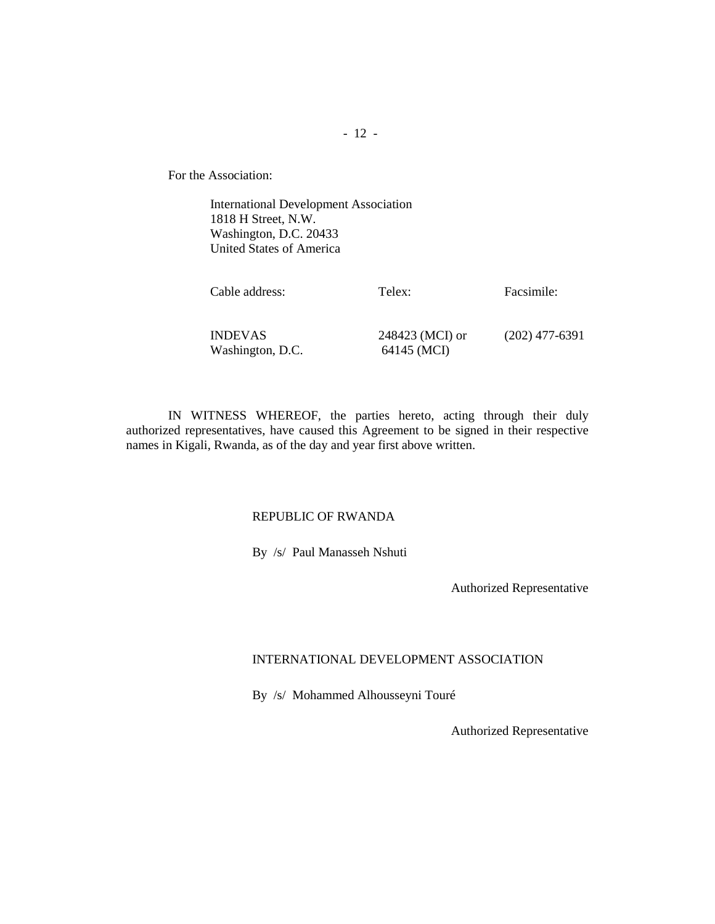For the Association:

International Development Association 1818 H Street, N.W. Washington, D.C. 20433 United States of America

| Cable address:                     | Telex:                         | Facsimile:       |
|------------------------------------|--------------------------------|------------------|
| <b>INDEVAS</b><br>Washington, D.C. | 248423 (MCI) or<br>64145 (MCI) | $(202)$ 477-6391 |

IN WITNESS WHEREOF, the parties hereto, acting through their duly authorized representatives, have caused this Agreement to be signed in their respective names in Kigali, Rwanda, as of the day and year first above written.

# REPUBLIC OF RWANDA

By /s/ Paul Manasseh Nshuti

Authorized Representative

# INTERNATIONAL DEVELOPMENT ASSOCIATION

By /s/ Mohammed Alhousseyni Touré

Authorized Representative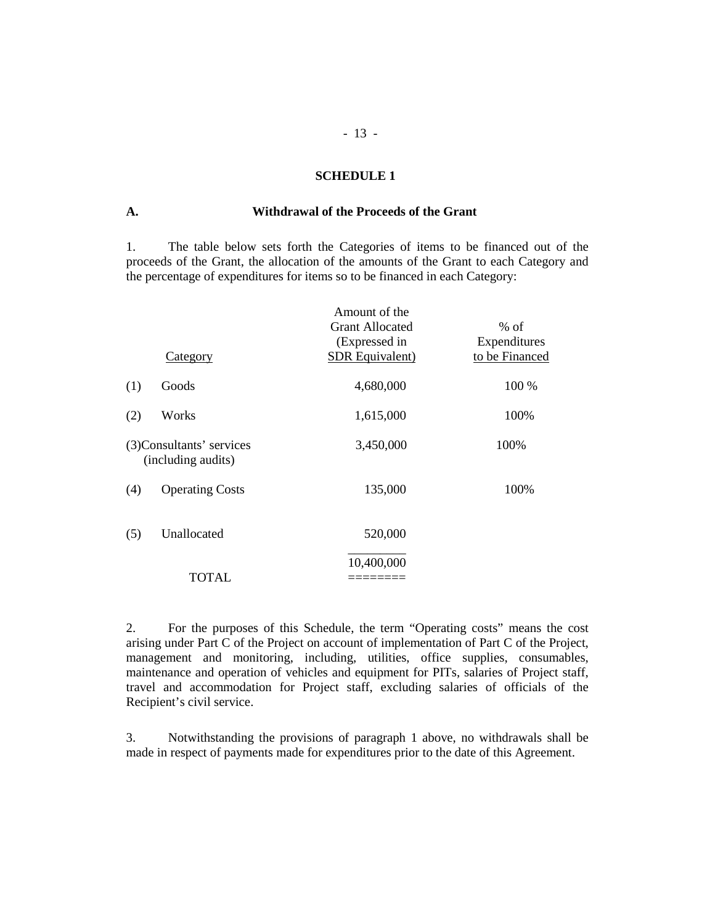#### **SCHEDULE 1**

# **A. Withdrawal of the Proceeds of the Grant**

1. The table below sets forth the Categories of items to be financed out of the proceeds of the Grant, the allocation of the amounts of the Grant to each Category and the percentage of expenditures for items so to be financed in each Category:

|     |                                                 | Amount of the<br><b>Grant Allocated</b><br>(Expressed in | $%$ of<br>Expenditures |
|-----|-------------------------------------------------|----------------------------------------------------------|------------------------|
|     | Category                                        | SDR Equivalent)                                          | to be Financed         |
| (1) | Goods                                           | 4,680,000                                                | 100 %                  |
| (2) | Works                                           | 1,615,000                                                | 100%                   |
|     | (3) Consultants' services<br>(including audits) | 3,450,000                                                | 100%                   |
| (4) | <b>Operating Costs</b>                          | 135,000                                                  | 100%                   |
| (5) | Unallocated                                     | 520,000                                                  |                        |
|     | TOTAL                                           | 10,400,000                                               |                        |

2. For the purposes of this Schedule, the term "Operating costs" means the cost arising under Part C of the Project on account of implementation of Part C of the Project, management and monitoring, including, utilities, office supplies, consumables, maintenance and operation of vehicles and equipment for PITs, salaries of Project staff, travel and accommodation for Project staff, excluding salaries of officials of the Recipient's civil service.

3. Notwithstanding the provisions of paragraph 1 above, no withdrawals shall be made in respect of payments made for expenditures prior to the date of this Agreement.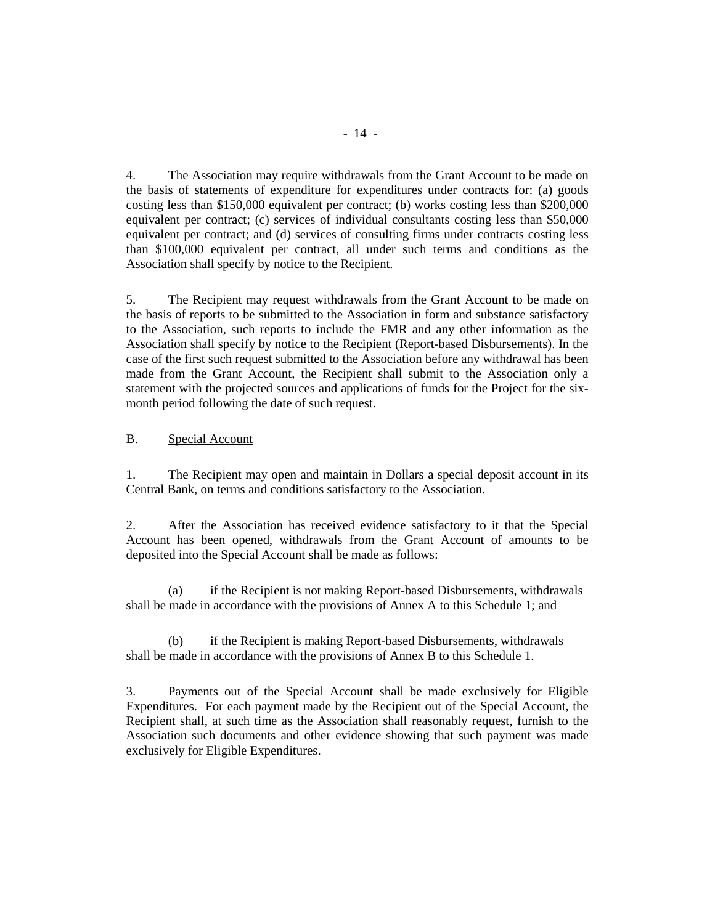4. The Association may require withdrawals from the Grant Account to be made on the basis of statements of expenditure for expenditures under contracts for: (a) goods costing less than \$150,000 equivalent per contract; (b) works costing less than \$200,000 equivalent per contract; (c) services of individual consultants costing less than \$50,000 equivalent per contract; and (d) services of consulting firms under contracts costing less than \$100,000 equivalent per contract, all under such terms and conditions as the Association shall specify by notice to the Recipient.

5. The Recipient may request withdrawals from the Grant Account to be made on the basis of reports to be submitted to the Association in form and substance satisfactory to the Association, such reports to include the FMR and any other information as the Association shall specify by notice to the Recipient (Report-based Disbursements). In the case of the first such request submitted to the Association before any withdrawal has been made from the Grant Account, the Recipient shall submit to the Association only a statement with the projected sources and applications of funds for the Project for the sixmonth period following the date of such request.

#### B. Special Account

1. The Recipient may open and maintain in Dollars a special deposit account in its Central Bank, on terms and conditions satisfactory to the Association.

2. After the Association has received evidence satisfactory to it that the Special Account has been opened, withdrawals from the Grant Account of amounts to be deposited into the Special Account shall be made as follows:

(a) if the Recipient is not making Report-based Disbursements, withdrawals shall be made in accordance with the provisions of Annex A to this Schedule 1; and

 (b) if the Recipient is making Report-based Disbursements, withdrawals shall be made in accordance with the provisions of Annex B to this Schedule 1.

3. Payments out of the Special Account shall be made exclusively for Eligible Expenditures. For each payment made by the Recipient out of the Special Account, the Recipient shall, at such time as the Association shall reasonably request, furnish to the Association such documents and other evidence showing that such payment was made exclusively for Eligible Expenditures.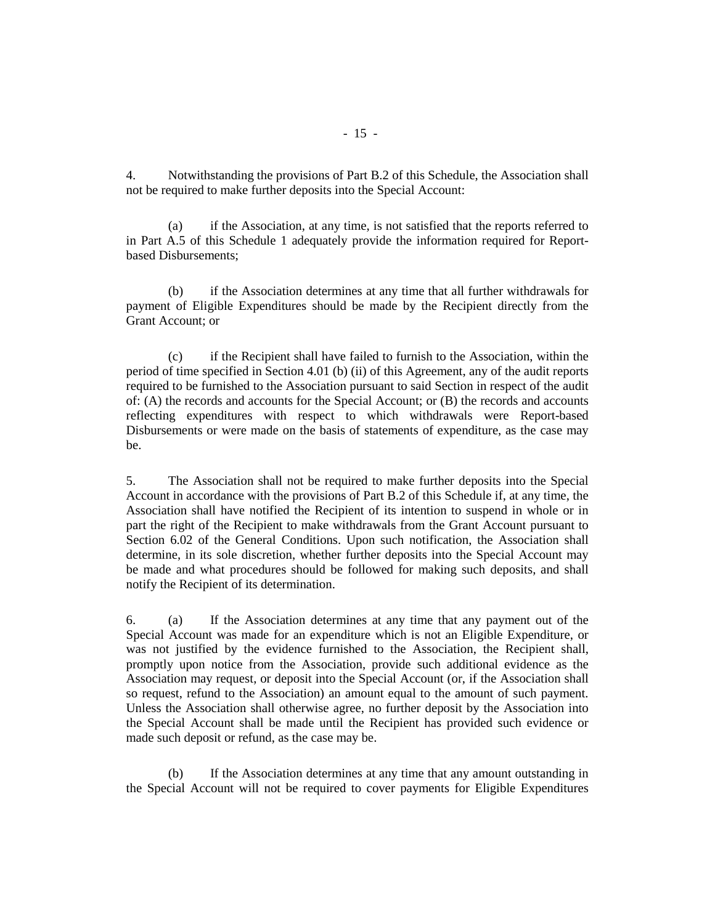4. Notwithstanding the provisions of Part B.2 of this Schedule, the Association shall not be required to make further deposits into the Special Account:

 (a) if the Association, at any time, is not satisfied that the reports referred to in Part A.5 of this Schedule 1 adequately provide the information required for Reportbased Disbursements;

(b) if the Association determines at any time that all further withdrawals for payment of Eligible Expenditures should be made by the Recipient directly from the Grant Account; or

 (c) if the Recipient shall have failed to furnish to the Association, within the period of time specified in Section 4.01 (b) (ii) of this Agreement, any of the audit reports required to be furnished to the Association pursuant to said Section in respect of the audit of: (A) the records and accounts for the Special Account; or (B) the records and accounts reflecting expenditures with respect to which withdrawals were Report-based Disbursements or were made on the basis of statements of expenditure, as the case may be.

5. The Association shall not be required to make further deposits into the Special Account in accordance with the provisions of Part B.2 of this Schedule if, at any time, the Association shall have notified the Recipient of its intention to suspend in whole or in part the right of the Recipient to make withdrawals from the Grant Account pursuant to Section 6.02 of the General Conditions. Upon such notification, the Association shall determine, in its sole discretion, whether further deposits into the Special Account may be made and what procedures should be followed for making such deposits, and shall notify the Recipient of its determination.

6. (a) If the Association determines at any time that any payment out of the Special Account was made for an expenditure which is not an Eligible Expenditure, or was not justified by the evidence furnished to the Association, the Recipient shall, promptly upon notice from the Association, provide such additional evidence as the Association may request, or deposit into the Special Account (or, if the Association shall so request, refund to the Association) an amount equal to the amount of such payment. Unless the Association shall otherwise agree, no further deposit by the Association into the Special Account shall be made until the Recipient has provided such evidence or made such deposit or refund, as the case may be.

 (b) If the Association determines at any time that any amount outstanding in the Special Account will not be required to cover payments for Eligible Expenditures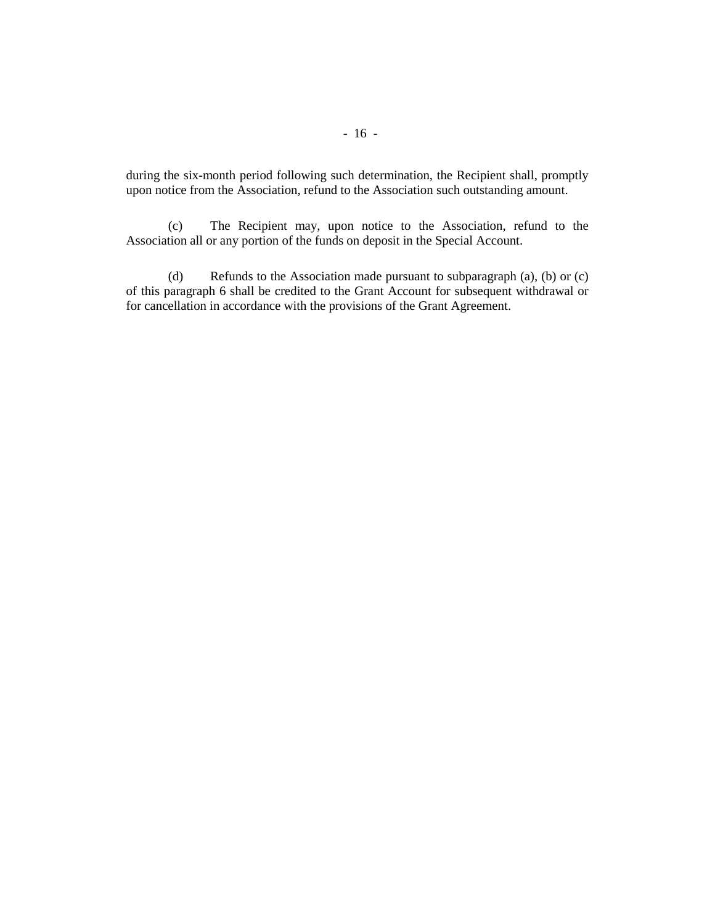during the six-month period following such determination, the Recipient shall, promptly upon notice from the Association, refund to the Association such outstanding amount.

 (c) The Recipient may, upon notice to the Association, refund to the Association all or any portion of the funds on deposit in the Special Account.

 (d) Refunds to the Association made pursuant to subparagraph (a), (b) or (c) of this paragraph 6 shall be credited to the Grant Account for subsequent withdrawal or for cancellation in accordance with the provisions of the Grant Agreement.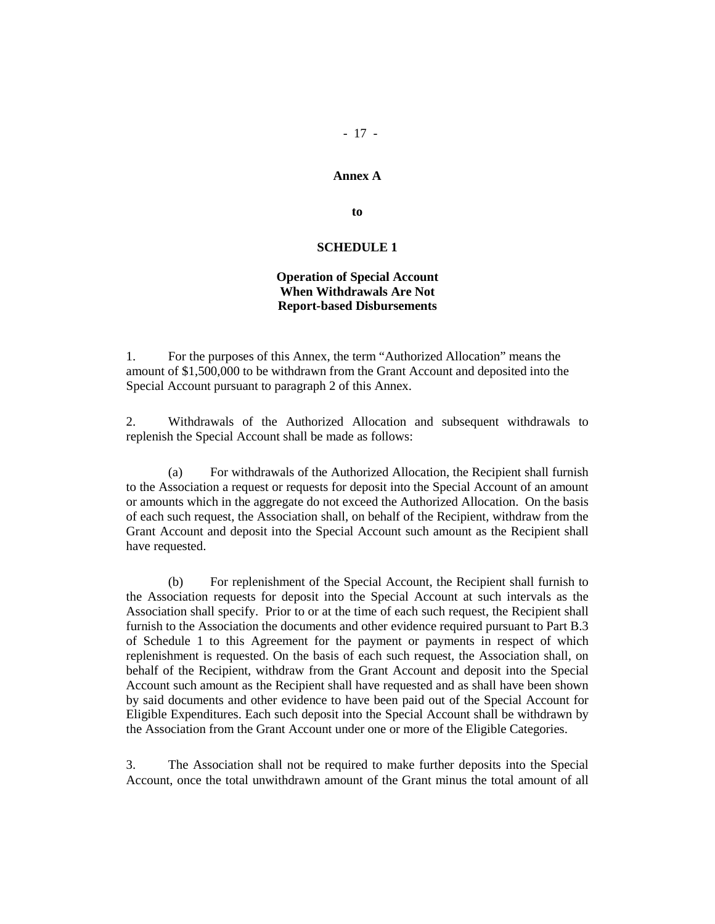# - 17 -

#### **Annex A**

**to** 

#### **SCHEDULE 1**

# **Operation of Special Account When Withdrawals Are Not Report-based Disbursements**

1. For the purposes of this Annex, the term "Authorized Allocation" means the amount of \$1,500,000 to be withdrawn from the Grant Account and deposited into the Special Account pursuant to paragraph 2 of this Annex.

2. Withdrawals of the Authorized Allocation and subsequent withdrawals to replenish the Special Account shall be made as follows:

 (a) For withdrawals of the Authorized Allocation, the Recipient shall furnish to the Association a request or requests for deposit into the Special Account of an amount or amounts which in the aggregate do not exceed the Authorized Allocation. On the basis of each such request, the Association shall, on behalf of the Recipient, withdraw from the Grant Account and deposit into the Special Account such amount as the Recipient shall have requested.

 (b) For replenishment of the Special Account, the Recipient shall furnish to the Association requests for deposit into the Special Account at such intervals as the Association shall specify. Prior to or at the time of each such request, the Recipient shall furnish to the Association the documents and other evidence required pursuant to Part B.3 of Schedule 1 to this Agreement for the payment or payments in respect of which replenishment is requested. On the basis of each such request, the Association shall, on behalf of the Recipient, withdraw from the Grant Account and deposit into the Special Account such amount as the Recipient shall have requested and as shall have been shown by said documents and other evidence to have been paid out of the Special Account for Eligible Expenditures. Each such deposit into the Special Account shall be withdrawn by the Association from the Grant Account under one or more of the Eligible Categories.

3. The Association shall not be required to make further deposits into the Special Account, once the total unwithdrawn amount of the Grant minus the total amount of all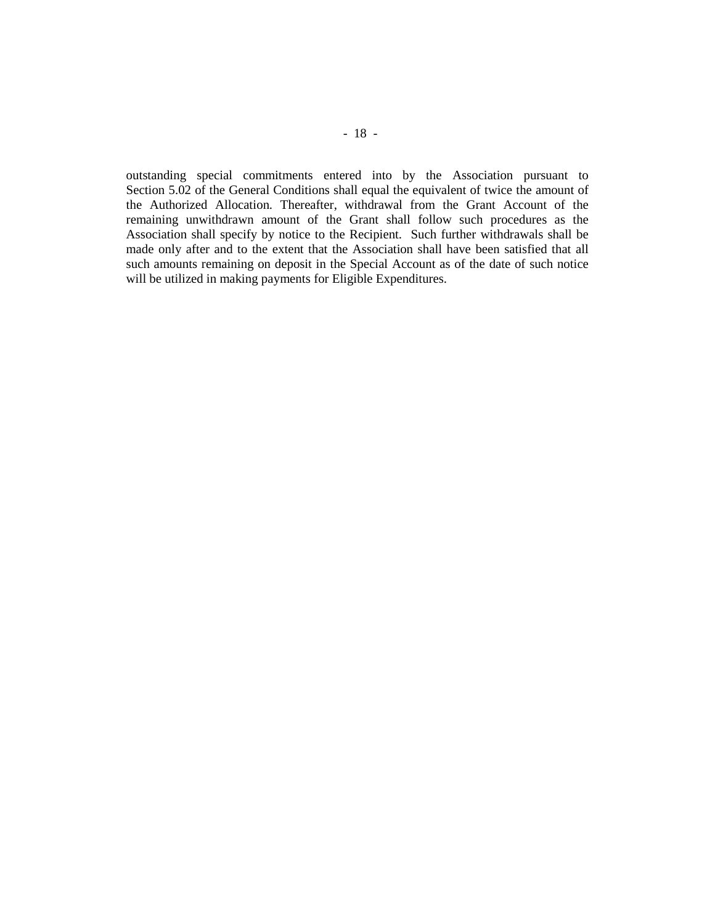outstanding special commitments entered into by the Association pursuant to Section 5.02 of the General Conditions shall equal the equivalent of twice the amount of the Authorized Allocation. Thereafter, withdrawal from the Grant Account of the remaining unwithdrawn amount of the Grant shall follow such procedures as the Association shall specify by notice to the Recipient. Such further withdrawals shall be made only after and to the extent that the Association shall have been satisfied that all such amounts remaining on deposit in the Special Account as of the date of such notice will be utilized in making payments for Eligible Expenditures.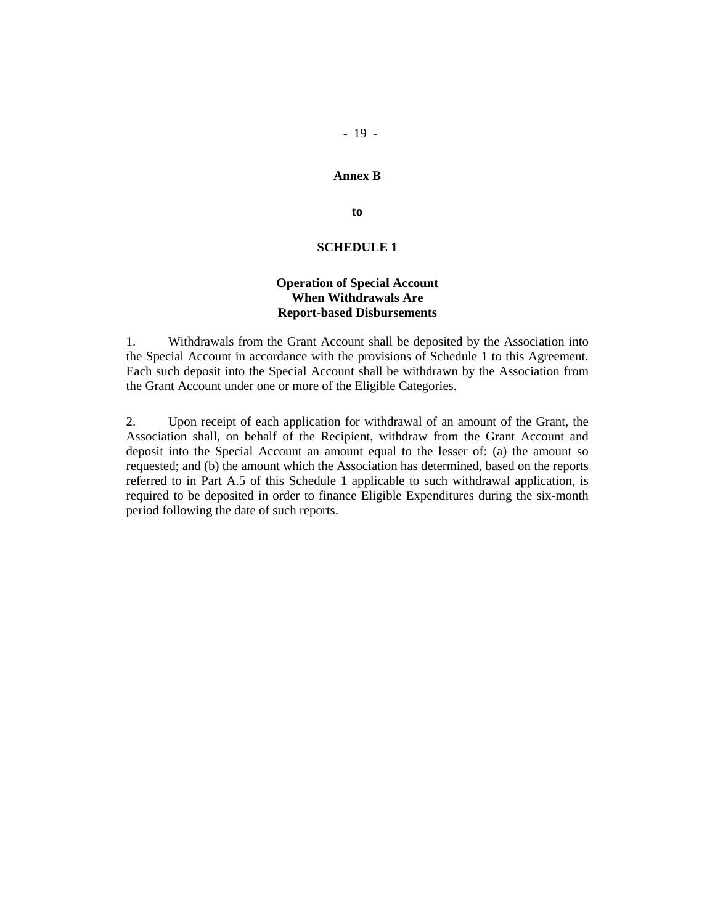#### **Annex B**

**to** 

#### **SCHEDULE 1**

# **Operation of Special Account When Withdrawals Are Report-based Disbursements**

1. Withdrawals from the Grant Account shall be deposited by the Association into the Special Account in accordance with the provisions of Schedule 1 to this Agreement. Each such deposit into the Special Account shall be withdrawn by the Association from the Grant Account under one or more of the Eligible Categories.

2. Upon receipt of each application for withdrawal of an amount of the Grant, the Association shall, on behalf of the Recipient, withdraw from the Grant Account and deposit into the Special Account an amount equal to the lesser of: (a) the amount so requested; and (b) the amount which the Association has determined, based on the reports referred to in Part A.5 of this Schedule 1 applicable to such withdrawal application, is required to be deposited in order to finance Eligible Expenditures during the six-month period following the date of such reports.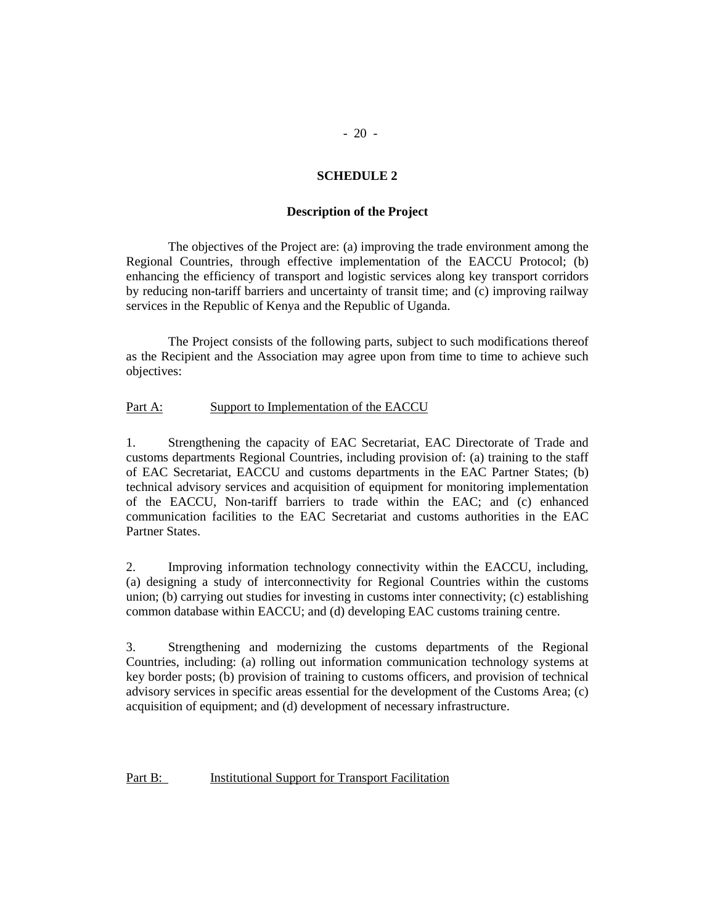# **SCHEDULE 2**

## **Description of the Project**

The objectives of the Project are: (a) improving the trade environment among the Regional Countries, through effective implementation of the EACCU Protocol; (b) enhancing the efficiency of transport and logistic services along key transport corridors by reducing non-tariff barriers and uncertainty of transit time; and (c) improving railway services in the Republic of Kenya and the Republic of Uganda.

The Project consists of the following parts, subject to such modifications thereof as the Recipient and the Association may agree upon from time to time to achieve such objectives:

# Part A: Support to Implementation of the EACCU

1. Strengthening the capacity of EAC Secretariat, EAC Directorate of Trade and customs departments Regional Countries, including provision of: (a) training to the staff of EAC Secretariat, EACCU and customs departments in the EAC Partner States; (b) technical advisory services and acquisition of equipment for monitoring implementation of the EACCU, Non-tariff barriers to trade within the EAC; and (c) enhanced communication facilities to the EAC Secretariat and customs authorities in the EAC Partner States.

2. Improving information technology connectivity within the EACCU, including, (a) designing a study of interconnectivity for Regional Countries within the customs union; (b) carrying out studies for investing in customs inter connectivity; (c) establishing common database within EACCU; and (d) developing EAC customs training centre.

3. Strengthening and modernizing the customs departments of the Regional Countries, including: (a) rolling out information communication technology systems at key border posts; (b) provision of training to customs officers, and provision of technical advisory services in specific areas essential for the development of the Customs Area; (c) acquisition of equipment; and (d) development of necessary infrastructure.

Part B: Institutional Support for Transport Facilitation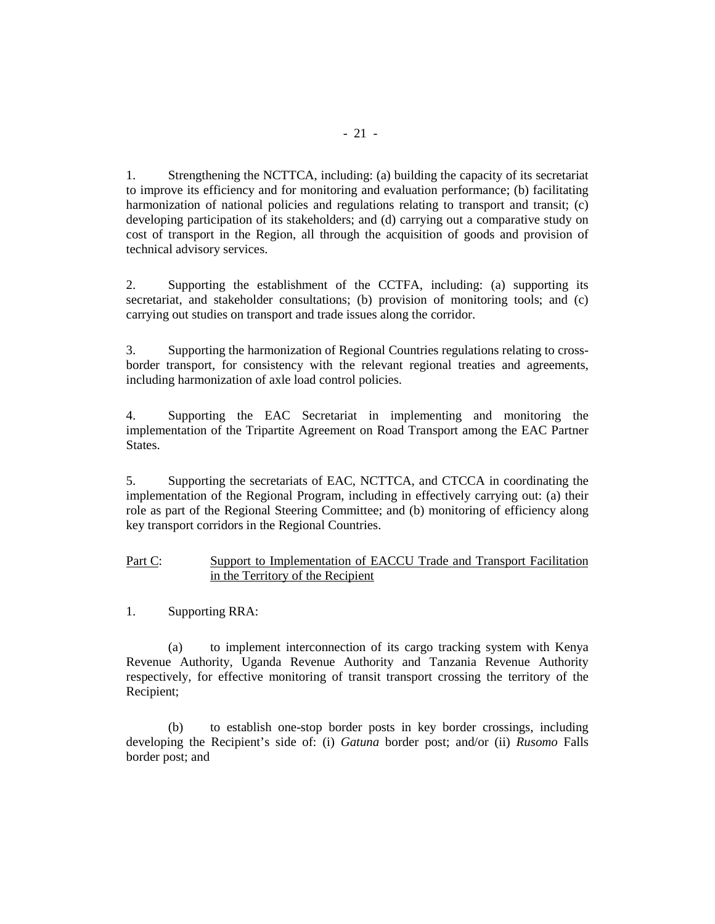1. Strengthening the NCTTCA, including: (a) building the capacity of its secretariat to improve its efficiency and for monitoring and evaluation performance; (b) facilitating harmonization of national policies and regulations relating to transport and transit; (c) developing participation of its stakeholders; and (d) carrying out a comparative study on cost of transport in the Region, all through the acquisition of goods and provision of technical advisory services.

2. Supporting the establishment of the CCTFA, including: (a) supporting its secretariat, and stakeholder consultations; (b) provision of monitoring tools; and (c) carrying out studies on transport and trade issues along the corridor.

3. Supporting the harmonization of Regional Countries regulations relating to crossborder transport, for consistency with the relevant regional treaties and agreements, including harmonization of axle load control policies.

4. Supporting the EAC Secretariat in implementing and monitoring the implementation of the Tripartite Agreement on Road Transport among the EAC Partner States.

5. Supporting the secretariats of EAC, NCTTCA, and CTCCA in coordinating the implementation of the Regional Program, including in effectively carrying out: (a) their role as part of the Regional Steering Committee; and (b) monitoring of efficiency along key transport corridors in the Regional Countries.

# Part C: Support to Implementation of EACCU Trade and Transport Facilitation in the Territory of the Recipient

1. Supporting RRA:

 (a) to implement interconnection of its cargo tracking system with Kenya Revenue Authority, Uganda Revenue Authority and Tanzania Revenue Authority respectively, for effective monitoring of transit transport crossing the territory of the Recipient;

 (b) to establish one-stop border posts in key border crossings, including developing the Recipient's side of: (i) *Gatuna* border post; and/or (ii) *Rusomo* Falls border post; and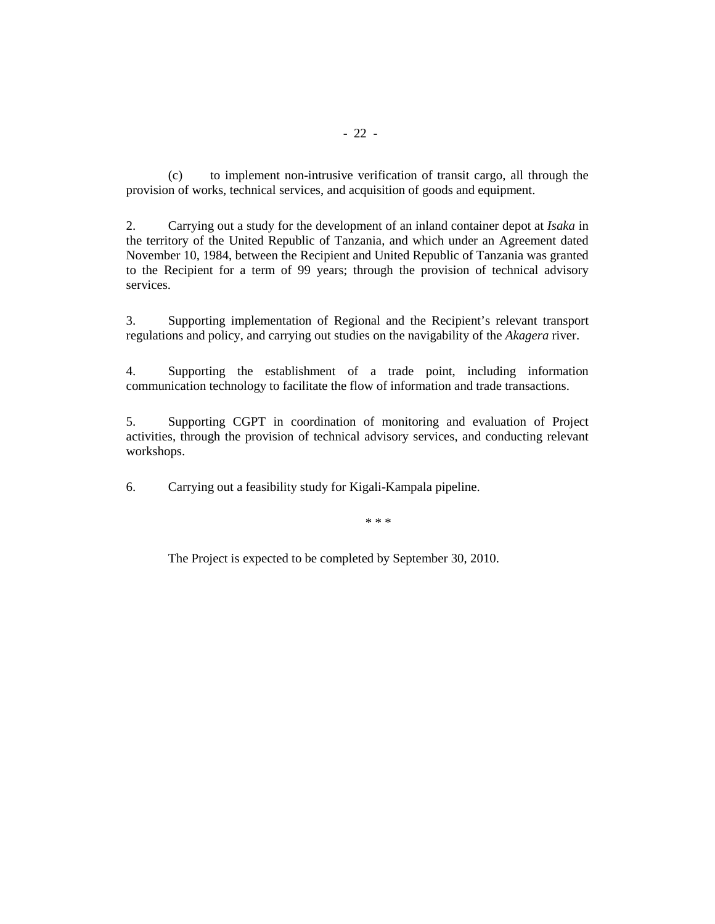(c) to implement non-intrusive verification of transit cargo, all through the provision of works, technical services, and acquisition of goods and equipment.

2. Carrying out a study for the development of an inland container depot at *Isaka* in the territory of the United Republic of Tanzania, and which under an Agreement dated November 10, 1984, between the Recipient and United Republic of Tanzania was granted to the Recipient for a term of 99 years; through the provision of technical advisory services.

3. Supporting implementation of Regional and the Recipient's relevant transport regulations and policy, and carrying out studies on the navigability of the *Akagera* river.

4. Supporting the establishment of a trade point, including information communication technology to facilitate the flow of information and trade transactions.

5. Supporting CGPT in coordination of monitoring and evaluation of Project activities, through the provision of technical advisory services, and conducting relevant workshops.

6. Carrying out a feasibility study for Kigali-Kampala pipeline.

\* \* \*

The Project is expected to be completed by September 30, 2010.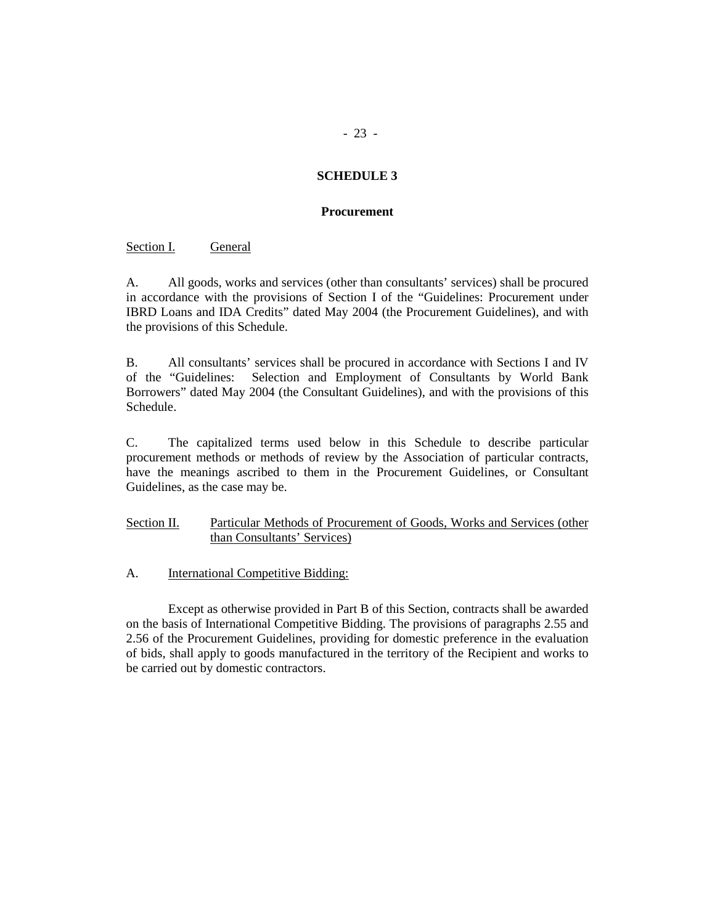# **SCHEDULE 3**

#### **Procurement**

Section I. General

A. All goods, works and services (other than consultants' services) shall be procured in accordance with the provisions of Section I of the "Guidelines: Procurement under IBRD Loans and IDA Credits" dated May 2004 (the Procurement Guidelines), and with the provisions of this Schedule.

B. All consultants' services shall be procured in accordance with Sections I and IV of the "Guidelines: Selection and Employment of Consultants by World Bank Borrowers" dated May 2004 (the Consultant Guidelines), and with the provisions of this Schedule.

C. The capitalized terms used below in this Schedule to describe particular procurement methods or methods of review by the Association of particular contracts, have the meanings ascribed to them in the Procurement Guidelines, or Consultant Guidelines, as the case may be.

# Section II. Particular Methods of Procurement of Goods, Works and Services (other than Consultants' Services)

A. International Competitive Bidding:

Except as otherwise provided in Part B of this Section, contracts shall be awarded on the basis of International Competitive Bidding. The provisions of paragraphs 2.55 and 2.56 of the Procurement Guidelines, providing for domestic preference in the evaluation of bids, shall apply to goods manufactured in the territory of the Recipient and works to be carried out by domestic contractors.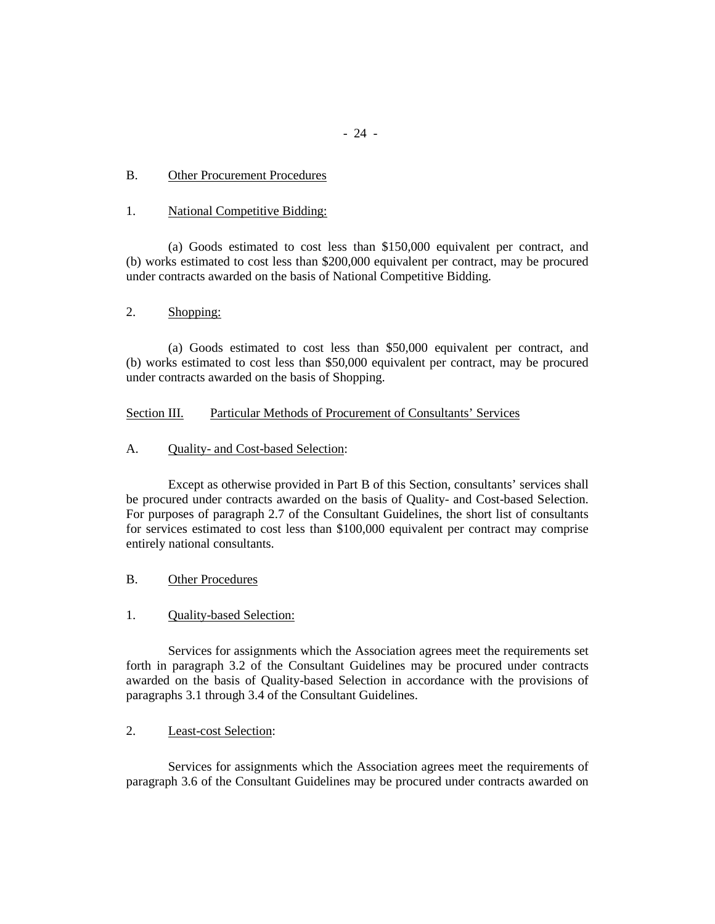## B. Other Procurement Procedures

#### 1. National Competitive Bidding:

(a) Goods estimated to cost less than \$150,000 equivalent per contract, and (b) works estimated to cost less than \$200,000 equivalent per contract, may be procured under contracts awarded on the basis of National Competitive Bidding.

#### 2. Shopping:

(a) Goods estimated to cost less than \$50,000 equivalent per contract, and (b) works estimated to cost less than \$50,000 equivalent per contract, may be procured under contracts awarded on the basis of Shopping.

## Section III. Particular Methods of Procurement of Consultants' Services

# A. Quality- and Cost-based Selection:

Except as otherwise provided in Part B of this Section, consultants' services shall be procured under contracts awarded on the basis of Quality- and Cost-based Selection. For purposes of paragraph 2.7 of the Consultant Guidelines, the short list of consultants for services estimated to cost less than \$100,000 equivalent per contract may comprise entirely national consultants.

#### B. Other Procedures

# 1. Quality-based Selection:

Services for assignments which the Association agrees meet the requirements set forth in paragraph 3.2 of the Consultant Guidelines may be procured under contracts awarded on the basis of Quality-based Selection in accordance with the provisions of paragraphs 3.1 through 3.4 of the Consultant Guidelines.

## 2. Least-cost Selection:

Services for assignments which the Association agrees meet the requirements of paragraph 3.6 of the Consultant Guidelines may be procured under contracts awarded on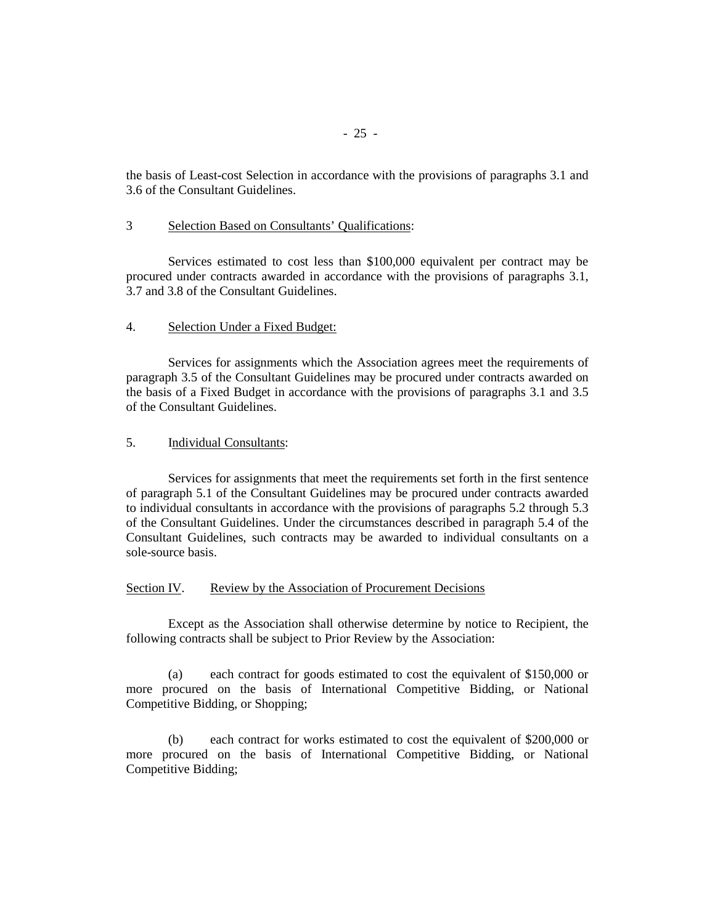the basis of Least-cost Selection in accordance with the provisions of paragraphs 3.1 and 3.6 of the Consultant Guidelines.

#### 3 Selection Based on Consultants' Qualifications:

Services estimated to cost less than \$100,000 equivalent per contract may be procured under contracts awarded in accordance with the provisions of paragraphs 3.1, 3.7 and 3.8 of the Consultant Guidelines.

#### 4. Selection Under a Fixed Budget:

Services for assignments which the Association agrees meet the requirements of paragraph 3.5 of the Consultant Guidelines may be procured under contracts awarded on the basis of a Fixed Budget in accordance with the provisions of paragraphs 3.1 and 3.5 of the Consultant Guidelines.

# 5. Individual Consultants:

Services for assignments that meet the requirements set forth in the first sentence of paragraph 5.1 of the Consultant Guidelines may be procured under contracts awarded to individual consultants in accordance with the provisions of paragraphs 5.2 through 5.3 of the Consultant Guidelines. Under the circumstances described in paragraph 5.4 of the Consultant Guidelines, such contracts may be awarded to individual consultants on a sole-source basis.

#### Section IV. Review by the Association of Procurement Decisions

Except as the Association shall otherwise determine by notice to Recipient, the following contracts shall be subject to Prior Review by the Association:

(a) each contract for goods estimated to cost the equivalent of \$150,000 or more procured on the basis of International Competitive Bidding, or National Competitive Bidding, or Shopping;

(b) each contract for works estimated to cost the equivalent of \$200,000 or more procured on the basis of International Competitive Bidding, or National Competitive Bidding;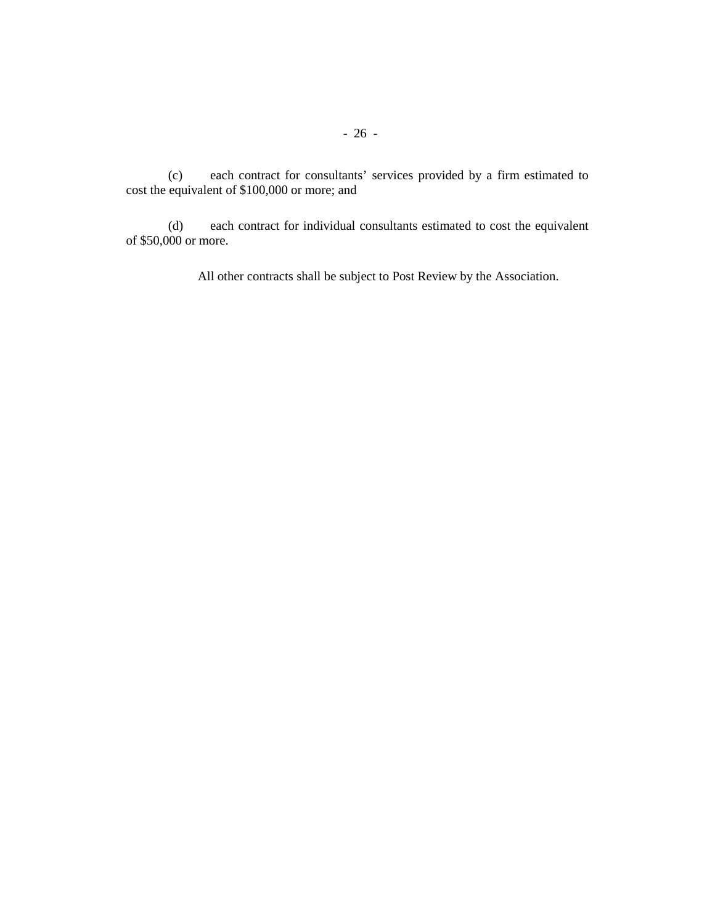(c) each contract for consultants' services provided by a firm estimated to cost the equivalent of \$100,000 or more; and

(d) each contract for individual consultants estimated to cost the equivalent of \$50,000 or more.

All other contracts shall be subject to Post Review by the Association.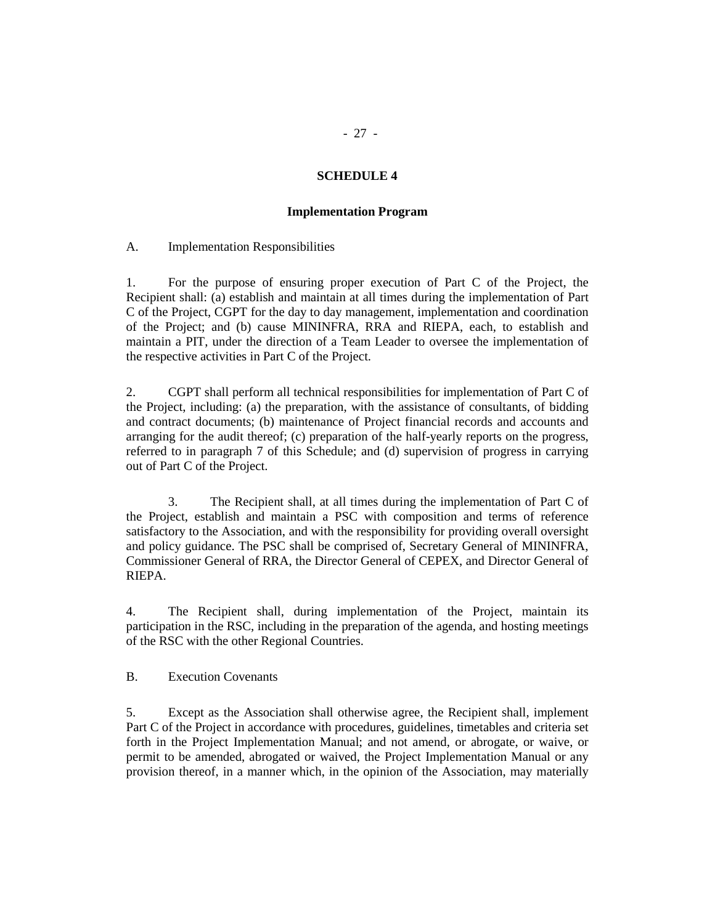## **SCHEDULE 4**

#### **Implementation Program**

A. Implementation Responsibilities

1. For the purpose of ensuring proper execution of Part C of the Project, the Recipient shall: (a) establish and maintain at all times during the implementation of Part C of the Project, CGPT for the day to day management, implementation and coordination of the Project; and (b) cause MININFRA, RRA and RIEPA, each, to establish and maintain a PIT, under the direction of a Team Leader to oversee the implementation of the respective activities in Part C of the Project.

2. CGPT shall perform all technical responsibilities for implementation of Part C of the Project, including: (a) the preparation, with the assistance of consultants, of bidding and contract documents; (b) maintenance of Project financial records and accounts and arranging for the audit thereof; (c) preparation of the half-yearly reports on the progress, referred to in paragraph 7 of this Schedule; and (d) supervision of progress in carrying out of Part C of the Project.

3. The Recipient shall, at all times during the implementation of Part C of the Project, establish and maintain a PSC with composition and terms of reference satisfactory to the Association, and with the responsibility for providing overall oversight and policy guidance. The PSC shall be comprised of, Secretary General of MININFRA, Commissioner General of RRA, the Director General of CEPEX, and Director General of RIEPA.

4. The Recipient shall, during implementation of the Project, maintain its participation in the RSC, including in the preparation of the agenda, and hosting meetings of the RSC with the other Regional Countries.

B. Execution Covenants

5. Except as the Association shall otherwise agree, the Recipient shall, implement Part C of the Project in accordance with procedures, guidelines, timetables and criteria set forth in the Project Implementation Manual; and not amend, or abrogate, or waive, or permit to be amended, abrogated or waived, the Project Implementation Manual or any provision thereof, in a manner which, in the opinion of the Association, may materially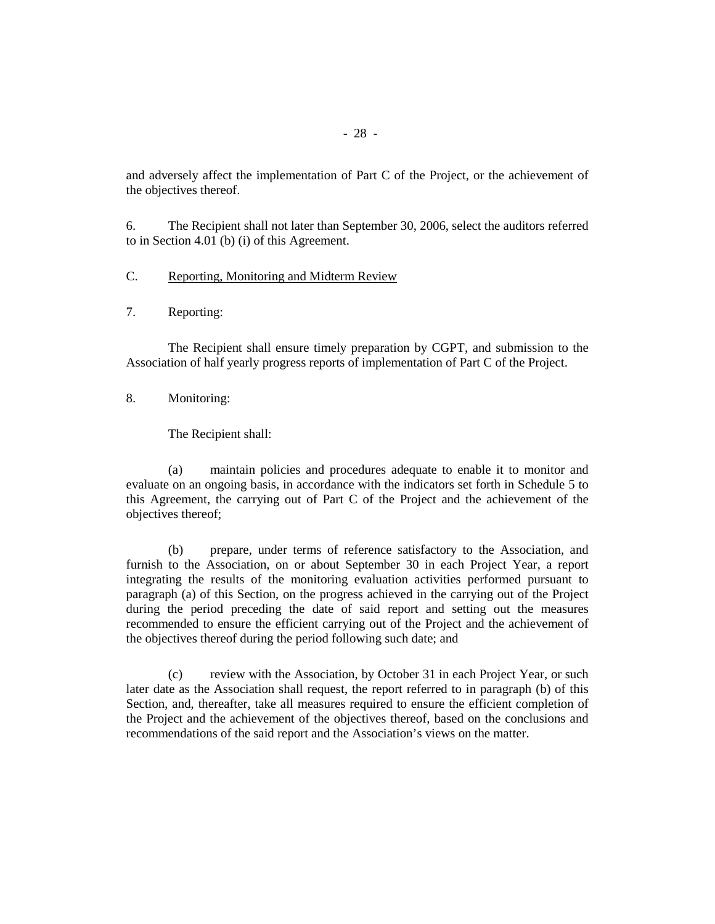and adversely affect the implementation of Part C of the Project, or the achievement of the objectives thereof.

6. The Recipient shall not later than September 30, 2006, select the auditors referred to in Section 4.01 (b) (i) of this Agreement.

# C. Reporting, Monitoring and Midterm Review

7. Reporting:

 The Recipient shall ensure timely preparation by CGPT, and submission to the Association of half yearly progress reports of implementation of Part C of the Project.

8. Monitoring:

The Recipient shall:

(a) maintain policies and procedures adequate to enable it to monitor and evaluate on an ongoing basis, in accordance with the indicators set forth in Schedule 5 to this Agreement, the carrying out of Part C of the Project and the achievement of the objectives thereof;

 (b) prepare, under terms of reference satisfactory to the Association, and furnish to the Association, on or about September 30 in each Project Year, a report integrating the results of the monitoring evaluation activities performed pursuant to paragraph (a) of this Section, on the progress achieved in the carrying out of the Project during the period preceding the date of said report and setting out the measures recommended to ensure the efficient carrying out of the Project and the achievement of the objectives thereof during the period following such date; and

 (c) review with the Association, by October 31 in each Project Year, or such later date as the Association shall request, the report referred to in paragraph (b) of this Section, and, thereafter, take all measures required to ensure the efficient completion of the Project and the achievement of the objectives thereof, based on the conclusions and recommendations of the said report and the Association's views on the matter.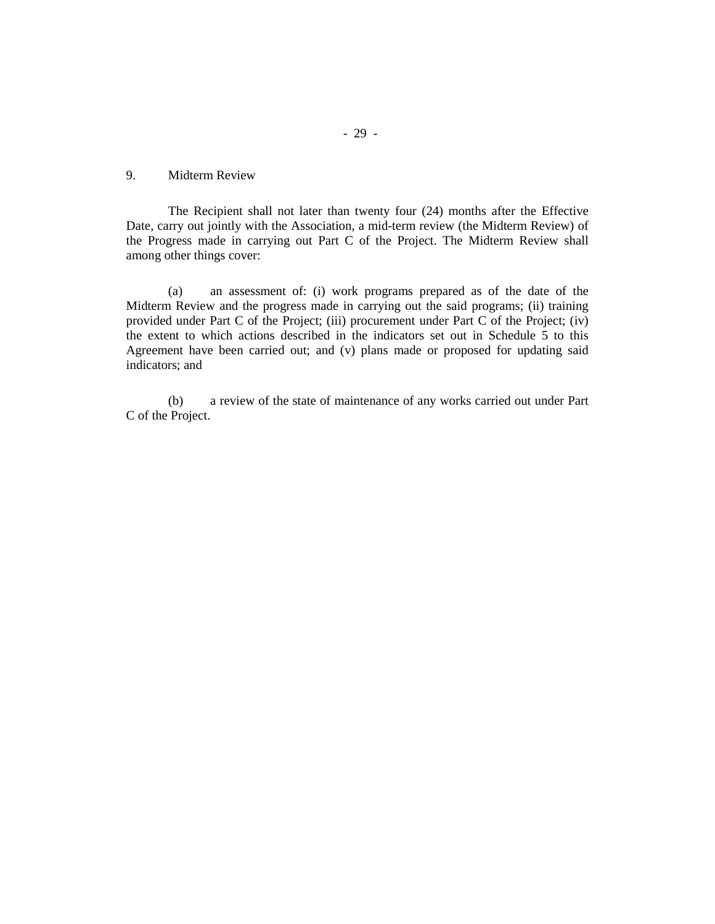# 9. Midterm Review

The Recipient shall not later than twenty four (24) months after the Effective Date, carry out jointly with the Association, a mid-term review (the Midterm Review) of the Progress made in carrying out Part C of the Project. The Midterm Review shall among other things cover:

(a) an assessment of: (i) work programs prepared as of the date of the Midterm Review and the progress made in carrying out the said programs; (ii) training provided under Part C of the Project; (iii) procurement under Part C of the Project; (iv) the extent to which actions described in the indicators set out in Schedule 5 to this Agreement have been carried out; and (v) plans made or proposed for updating said indicators; and

(b) a review of the state of maintenance of any works carried out under Part C of the Project.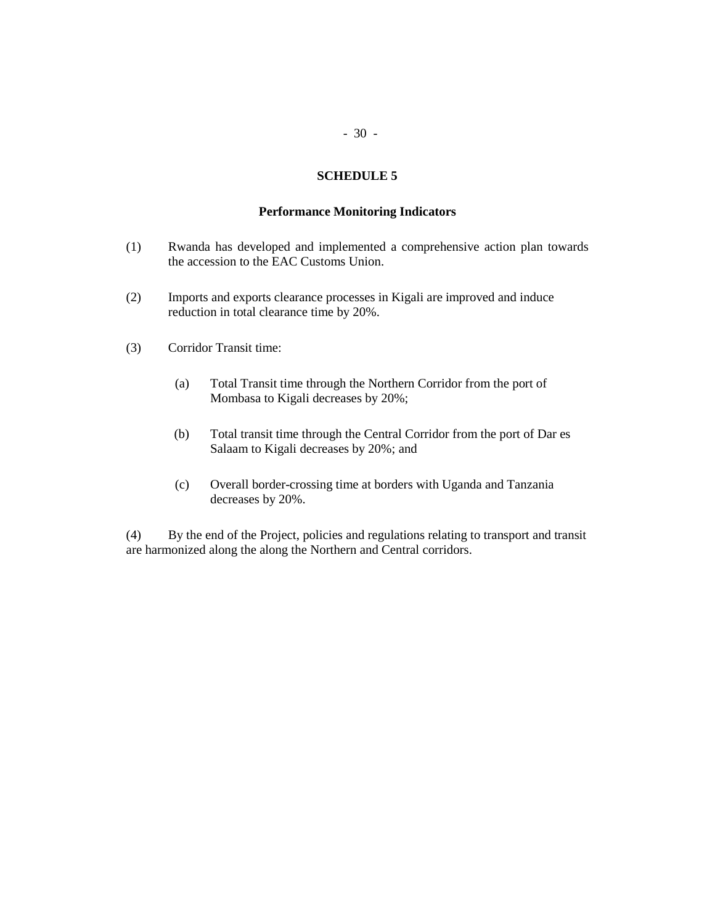# - 30 -

# **SCHEDULE 5**

## **Performance Monitoring Indicators**

- (1) Rwanda has developed and implemented a comprehensive action plan towards the accession to the EAC Customs Union.
- (2) Imports and exports clearance processes in Kigali are improved and induce reduction in total clearance time by 20%.
- (3) Corridor Transit time:
	- (a) Total Transit time through the Northern Corridor from the port of Mombasa to Kigali decreases by 20%;
	- (b) Total transit time through the Central Corridor from the port of Dar es Salaam to Kigali decreases by 20%; and
	- (c) Overall border-crossing time at borders with Uganda and Tanzania decreases by 20%.

(4) By the end of the Project, policies and regulations relating to transport and transit are harmonized along the along the Northern and Central corridors.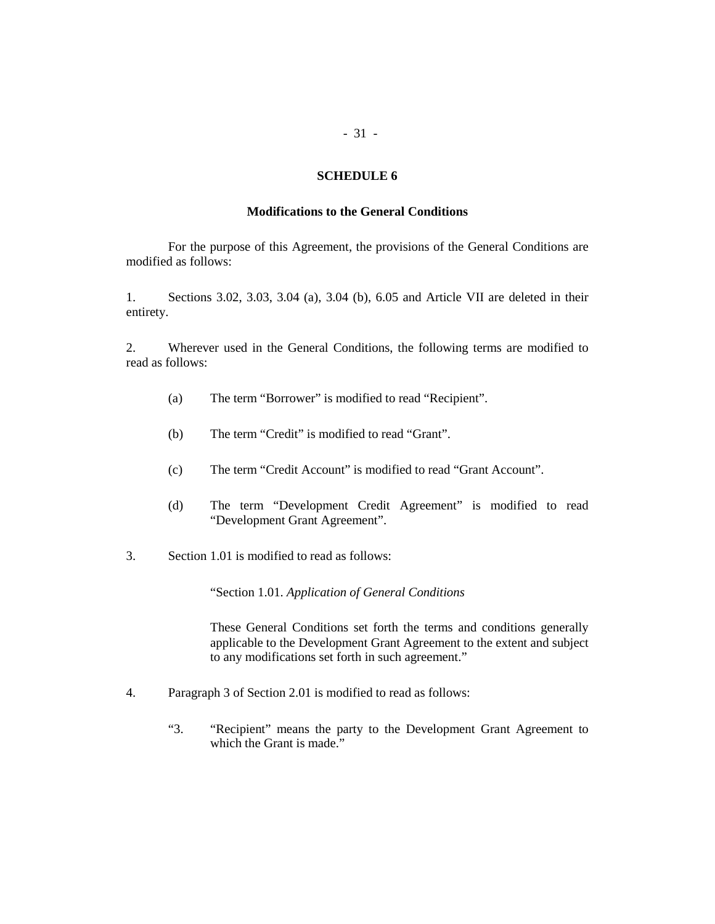#### **SCHEDULE 6**

## **Modifications to the General Conditions**

For the purpose of this Agreement, the provisions of the General Conditions are modified as follows:

1. Sections 3.02, 3.03, 3.04 (a), 3.04 (b), 6.05 and Article VII are deleted in their entirety.

2. Wherever used in the General Conditions, the following terms are modified to read as follows:

- (a) The term "Borrower" is modified to read "Recipient".
- (b) The term "Credit" is modified to read "Grant".
- (c) The term "Credit Account" is modified to read "Grant Account".
- (d) The term "Development Credit Agreement" is modified to read "Development Grant Agreement".
- 3. Section 1.01 is modified to read as follows:

"Section 1.01. *Application of General Conditions*

These General Conditions set forth the terms and conditions generally applicable to the Development Grant Agreement to the extent and subject to any modifications set forth in such agreement."

- 4. Paragraph 3 of Section 2.01 is modified to read as follows:
	- "3. "Recipient" means the party to the Development Grant Agreement to which the Grant is made."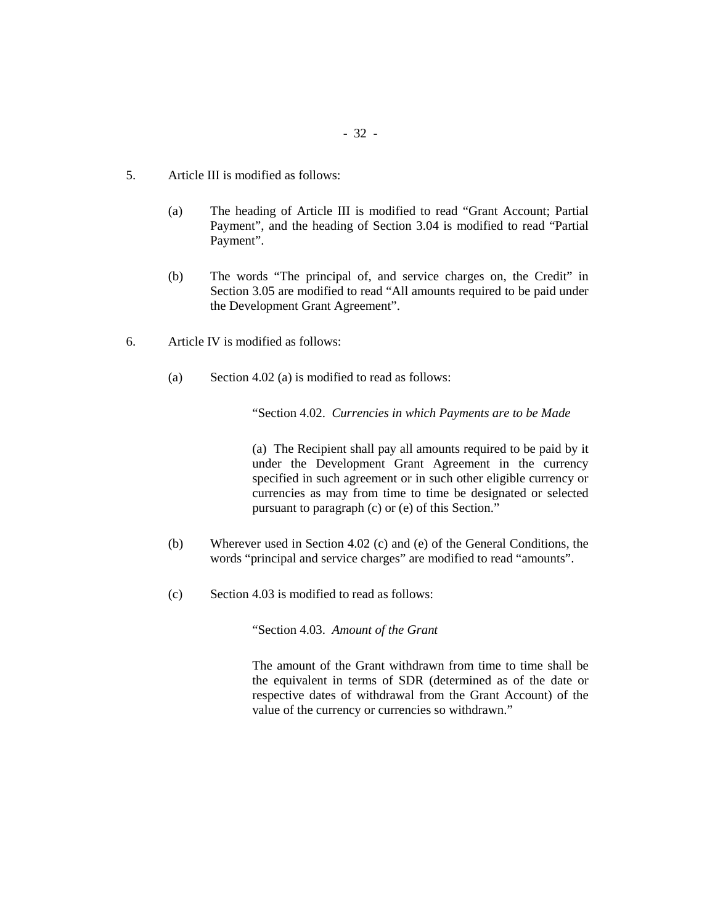- 5. Article III is modified as follows:
	- (a) The heading of Article III is modified to read "Grant Account; Partial Payment", and the heading of Section 3.04 is modified to read "Partial Payment".
	- (b) The words "The principal of, and service charges on, the Credit" in Section 3.05 are modified to read "All amounts required to be paid under the Development Grant Agreement".
- 6. Article IV is modified as follows:
	- (a) Section 4.02 (a) is modified to read as follows:

"Section 4.02. *Currencies in which Payments are to be Made*

(a) The Recipient shall pay all amounts required to be paid by it under the Development Grant Agreement in the currency specified in such agreement or in such other eligible currency or currencies as may from time to time be designated or selected pursuant to paragraph (c) or (e) of this Section."

- (b) Wherever used in Section 4.02 (c) and (e) of the General Conditions, the words "principal and service charges" are modified to read "amounts".
- (c) Section 4.03 is modified to read as follows:

"Section 4.03. *Amount of the Grant*

The amount of the Grant withdrawn from time to time shall be the equivalent in terms of SDR (determined as of the date or respective dates of withdrawal from the Grant Account) of the value of the currency or currencies so withdrawn."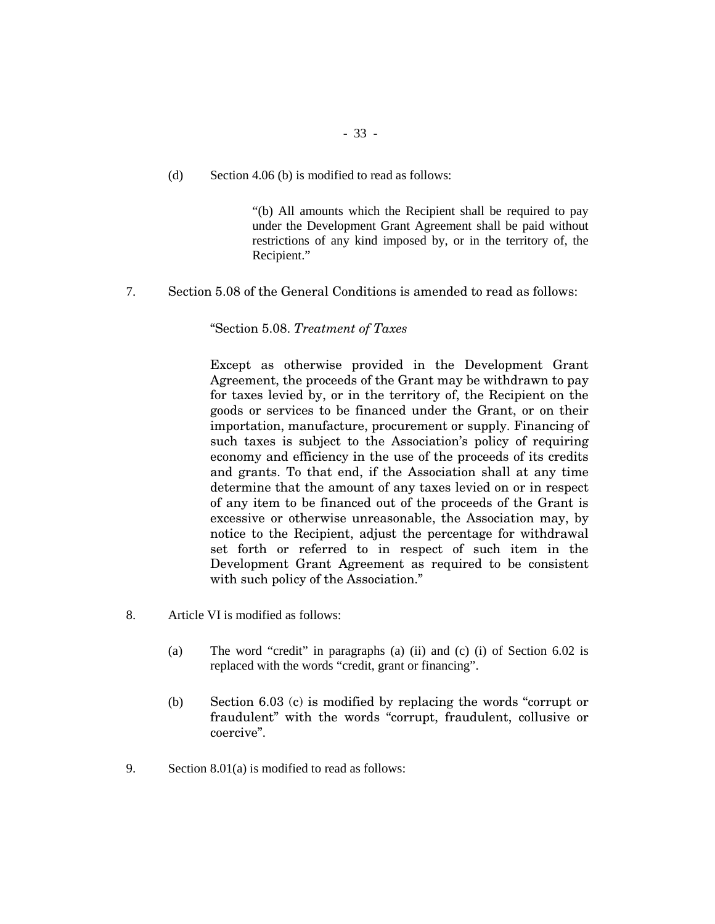(d) Section 4.06 (b) is modified to read as follows:

"(b) All amounts which the Recipient shall be required to pay under the Development Grant Agreement shall be paid without restrictions of any kind imposed by, or in the territory of, the Recipient."

7. Section 5.08 of the General Conditions is amended to read as follows:

"Section 5.08. *Treatment of Taxes*

Except as otherwise provided in the Development Grant Agreement, the proceeds of the Grant may be withdrawn to pay for taxes levied by, or in the territory of, the Recipient on the goods or services to be financed under the Grant, or on their importation, manufacture, procurement or supply. Financing of such taxes is subject to the Association's policy of requiring economy and efficiency in the use of the proceeds of its credits and grants. To that end, if the Association shall at any time determine that the amount of any taxes levied on or in respect of any item to be financed out of the proceeds of the Grant is excessive or otherwise unreasonable, the Association may, by notice to the Recipient, adjust the percentage for withdrawal set forth or referred to in respect of such item in the Development Grant Agreement as required to be consistent with such policy of the Association."

- 8. Article VI is modified as follows:
	- (a) The word "credit" in paragraphs (a) (ii) and (c) (i) of Section 6.02 is replaced with the words "credit, grant or financing".
	- (b) Section 6.03 (c) is modified by replacing the words "corrupt or fraudulent" with the words "corrupt, fraudulent, collusive or coercive".
- 9. Section 8.01(a) is modified to read as follows: